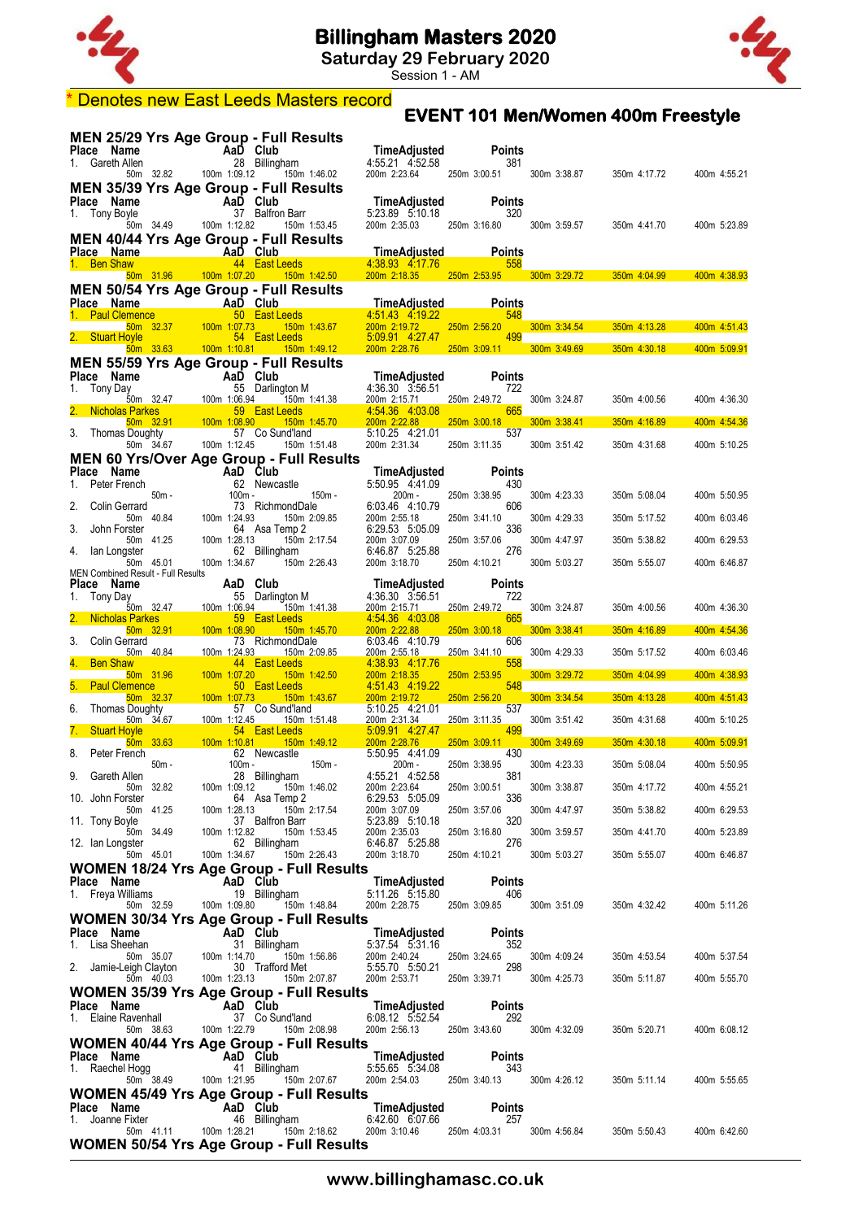

**Saturday 29 February 2020**

Session 1 - AM



#### **EVENT 101 Men/Women 400m Freestyle** \* Denotes new East Leeds Masters record

|             |                                                  |             |                                                                                          |        | MEN 25/29 Yrs Age Group - Full Results                                                                                                               |                                                                                                                                                         |                                                                                                                                         |                      |                           |                                                                  |              |
|-------------|--------------------------------------------------|-------------|------------------------------------------------------------------------------------------|--------|------------------------------------------------------------------------------------------------------------------------------------------------------|---------------------------------------------------------------------------------------------------------------------------------------------------------|-----------------------------------------------------------------------------------------------------------------------------------------|----------------------|---------------------------|------------------------------------------------------------------|--------------|
|             | Place Name<br>1. Gareth Allen                    |             | me AaD Club<br>Allen 28 Billingl<br>50m 32.82 100m 1:09.12                               |        | 28 Billingham                                                                                                                                        | <b>TimeAdjusted</b><br>4:55.21  4:52.58                                                                                                                 |                                                                                                                                         | <b>Points</b><br>381 |                           |                                                                  |              |
|             |                                                  |             |                                                                                          |        | 150m 1:46.02                                                                                                                                         | 200m 2:23.64 250m 3:00.51                                                                                                                               |                                                                                                                                         |                      | 300m 3:38.87              | 350m 4:17.72                                                     | 400m 4:55.21 |
|             | Place Name                                       |             |                                                                                          |        | MEN 35/39 Yrs Age Group - Full Results                                                                                                               | TimeAdjusted                                                                                                                                            |                                                                                                                                         | Points               |                           |                                                                  |              |
|             | 1. Tony Boyle                                    |             | me AaD Club<br>yle 37 Balfron<br>50m 34.49 100m 1:12.82                                  |        | 37 Balfron Barr                                                                                                                                      |                                                                                                                                                         |                                                                                                                                         | 320                  |                           |                                                                  |              |
|             |                                                  |             |                                                                                          |        | 150m 1:53.45                                                                                                                                         | 200m 2:35.03                                                                                                                                            |                                                                                                                                         |                      | 250m 3:16.80 300m 3:59.57 | 350m 4:41.70                                                     | 400m 5:23.89 |
|             | Place Name                                       |             | <b>Example 2</b> AaD Club                                                                |        | <b>MEN 40/44 Yrs Age Group - Full Results</b>                                                                                                        | <b>TimeAdjusted</b>                                                                                                                                     |                                                                                                                                         | Points               |                           |                                                                  |              |
|             | 1. Ben Shaw                                      |             |                                                                                          |        | <b>Example 19 Additional 44 East Leeds</b>                                                                                                           | 4:38.93 4:17.76                                                                                                                                         | <u>558 - 558 - 558 - 558 - 558 - 558 - 558 - 558 - 558 - 558 - 558 - 558 - 558 - 558 - 558 - 558 - 558 - 558 - 5</u>                    |                      |                           |                                                                  |              |
|             |                                                  |             |                                                                                          |        | 50m 31.96  100m 1:07.20  150m 1:42.50<br><b>MEN 50/54 Yrs Age Group - Full Results</b>                                                               |                                                                                                                                                         |                                                                                                                                         |                      |                           | 200m 2:18.35 250m 2:53.95 300m 3:29.72 350m 4:04.99 400m 4:38.93 |              |
|             | Place Name                                       |             | AaD Club                                                                                 |        |                                                                                                                                                      | TimeAdjusted                                                                                                                                            |                                                                                                                                         | <b>Points</b>        |                           |                                                                  |              |
|             |                                                  |             |                                                                                          |        | 1. Paul Clemence<br>50 Bon 32.37 100m 107.73 150m<br>2. Stuart Hoyle 54 East Leeds<br>150m 1:43.67                                                   | 4:51:43 4:19:22<br>200m 2:19.72<br><b>Contract Contract Contract Contract Contract Contract Contract Contract Contract Contract Contract Contract C</b> |                                                                                                                                         | 548                  | 250m 2:56.20 300m 3:34.54 | 350m 4:13.28                                                     | 400m 4:51.43 |
|             | 2. Stuart Hoyle                                  |             |                                                                                          |        | 54 East Leeds                                                                                                                                        | 5.09.91 4.27.47<br>200m 2:28.76 250m 3:09.11                                                                                                            |                                                                                                                                         | 499                  |                           |                                                                  |              |
|             |                                                  |             |                                                                                          |        | <b>MEN 55/59 Yrs Age Group - Full Results</b>                                                                                                        |                                                                                                                                                         |                                                                                                                                         |                      |                           | 300m 3:49.69 350m 4:30.18 400m 5:09.91                           |              |
|             | Place Name                                       |             |                                                                                          |        |                                                                                                                                                      | TimeAdjusted                                                                                                                                            |                                                                                                                                         | <b>Points</b>        |                           |                                                                  |              |
| 1. Tony Day |                                                  |             | me<br>W 55 Darling<br>55 Darling<br>100m 1:06.94                                         |        | 55 Darlington M<br>150m 1:41.38                                                                                                                      | 4:36.30 3:56.51<br>200m 2:15.71                                                                                                                         | 250m 2:49.72                                                                                                                            | 722                  | 300m 3:24.87              | 350m 4:00.56                                                     | 400m 4:36.30 |
|             | Nicholas Parkes                                  | $50m$ 32.91 | 100m 1:08.90                                                                             |        | 59 East Leeds<br>150m 1:45.70                                                                                                                        | 4.54.36 4.03.08<br>200m 2:22.88                                                                                                                         | $\mathcal{L}(\mathcal{L})$ and $\mathcal{L}(\mathcal{L})$ and $\mathcal{L}(\mathcal{L})$ and $\mathcal{L}(\mathcal{L})$<br>250m 3:00.18 | 665                  | 300m 3:38.41              | 350m 4:16.89                                                     | 400m 4:54.36 |
|             | 3. Thomas Doughty                                |             |                                                                                          |        | 57 Co Sund'land                                                                                                                                      | 5:10.25 4:21.01                                                                                                                                         |                                                                                                                                         | 537                  |                           |                                                                  |              |
|             |                                                  | 50m 34.67   | 100m 1:12.45                                                                             |        | 150m 1:51.48<br><b>MEN 60 Yrs/Over Age Group - Full Results</b>                                                                                      | 200m 2:31.34                                                                                                                                            | 250m 3:11.35                                                                                                                            |                      | 300m 3:51.42              | 350m 4:31.68                                                     | 400m 5:10.25 |
|             | Place Name                                       |             |                                                                                          |        | AaD Club<br>62 Newcastle                                                                                                                             | TimeAdjusted                                                                                                                                            |                                                                                                                                         | <b>Points</b>        |                           |                                                                  |              |
|             | 1. Peter French                                  | 50m -       |                                                                                          | 100m - | 150m -                                                                                                                                               | 5:50.95 4:41.09<br>200m -                                                                                                                               | 250m 3:38.95                                                                                                                            | 430                  | 300m 4:23.33              | 350m 5:08.04                                                     | 400m 5:50.95 |
| 2.          | Colin Gerrard                                    |             |                                                                                          |        | 73 RichmondDale                                                                                                                                      | 6:03.46 4:10.79                                                                                                                                         |                                                                                                                                         | 606                  |                           |                                                                  |              |
| 3.          | John Forster                                     | 50m 40.84   | 100m 1:24.93                                                                             |        | 150m 2:09.85<br>64 Asa Temp 2                                                                                                                        | 200m 2:55.18<br>6:29.53 5:05.09                                                                                                                         | 250m 3:41.10                                                                                                                            | 336                  | 300m 4:29.33              | 350m 5:17.52                                                     | 400m 6:03.46 |
| 4.          | lan Longster                                     | 50m 41.25   | 100m 1:28.13                                                                             |        | 150m 2:17.54<br>62 Billingham                                                                                                                        | 200m 3:07.09<br>6:46.87 5:25.88                                                                                                                         | 250m 3:57.06                                                                                                                            | 276                  | 300m 4:47.97              | 350m 5:38.82                                                     | 400m 6:29.53 |
|             |                                                  | 50m 45.01   | 100m 1:34.67                                                                             |        | 150m 2:26.43                                                                                                                                         | 200m 3:18.70                                                                                                                                            | 250m 4:10.21                                                                                                                            |                      | 300m 5:03.27              | 350m 5:55.07                                                     | 400m 6:46.87 |
|             | MEN Combined Result - Full Results<br>Place Name |             |                                                                                          |        | <b>aD Club</b><br>55 Darlington M<br>1684 1505 1616 1621 1636 1641 1505 1641 1505 1641 1505 1641 1642 1643 1648 1649 1648 1649 1649 1649 1649 1649 1 |                                                                                                                                                         |                                                                                                                                         | <b>Points</b>        |                           |                                                                  |              |
|             | Tony Day                                         |             | <b>AaD Club</b><br>ay 55 Darling<br>50m 32.47 100m 1:06.94<br><b>s Parkes</b> 50 Fact 1. |        |                                                                                                                                                      | 200m 2:15.71                                                                                                                                            | 250m 2:49.72                                                                                                                            | 722                  | 300m 3:24.87              | 350m 4:00.56                                                     | 400m 4:36.30 |
|             | <b>Nicholas Parkes</b>                           |             |                                                                                          |        | 59 East Leeds                                                                                                                                        | 4:54.36 4:03.08                                                                                                                                         |                                                                                                                                         | 665                  |                           |                                                                  |              |
| 3.          | Colin Gerrard                                    | $50m$ 32.91 | 100m 1:08.90                                                                             |        | 150m 1:45.70<br>73 RichmondDale                                                                                                                      | 200m 2:22.88<br>6:03.46 4:10.79                                                                                                                         | $250m$ 3:00.18                                                                                                                          | 606                  | 300m 3:38.41              | 350m 4:16.89                                                     | 400m 4:54.36 |
|             | <b>Ben Shaw</b>                                  | 50m 40.84   | 100m 1:24.93                                                                             |        | 150m 2:09.85<br>44 East Leeds<br><b>Service Service</b>                                                                                              | 200m 2:55.18<br>4:38.93 4:17.76                                                                                                                         | 250m 3:41.10                                                                                                                            | 558                  | 300m 4:29.33              | 350m 5:17.52                                                     | 400m 6:03.46 |
|             |                                                  | 50m 31.96   | 100m 1:07.20                                                                             |        | 150m 1:42.50                                                                                                                                         | 200m 2:18.35                                                                                                                                            | 250m 2:53.95                                                                                                                            |                      | 300m 3:29.72              | 350m 4:04.99                                                     | 400m 4:38.93 |
|             | <b>Paul Clemence</b>                             | $50m$ 32.37 | 100m 1:07.73                                                                             |        | 50 East Leeds<br>150m 1:43.67                                                                                                                        | 4.51.43 4.19.22<br>200m 2:19.72                                                                                                                         | 250m 2:56.20                                                                                                                            | 548                  | 300m 3:34.54              | $350m$ 4:13.28                                                   | 400m 4:51.43 |
| 6.          | <b>Thomas Doughty</b>                            | 50m 34.67   | 100m 1:12.45                                                                             |        | 57 Co Sund'land<br>150m 1:51.48                                                                                                                      | 5:10.25 4:21.01<br>200m 2:31.34                                                                                                                         | 250m 3:11.35                                                                                                                            | 537                  | 300m 3:51.42              | 350m 4:31.68                                                     | 400m 5:10.25 |
|             | 7. Stuart Hoyle                                  |             |                                                                                          |        | 54 East Leeds                                                                                                                                        | 5:09.91 4:27.47                                                                                                                                         |                                                                                                                                         | 499                  |                           |                                                                  |              |
| 8.          | Peter French                                     | $50m$ 33.63 | 100m 1:10.81                                                                             |        | 150m 1:49.12<br>62 Newcastle                                                                                                                         | 200m 2:28.76<br>5:50.95 4:41.09                                                                                                                         | $250m$ 3:09.11                                                                                                                          | 430                  | 300m 3:49.69              | 350m 4:30.18                                                     | 400m 5:09.91 |
|             | 9. Gareth Allen                                  | 50m -       |                                                                                          | 100m - | $150m -$<br>28 Billingham                                                                                                                            | 200m -<br>4:55.21 4:52.58                                                                                                                               |                                                                                                                                         | 381                  | 250m 3:38.95 300m 4:23.33 | 350m 5:08.04                                                     | 400m 5:50.95 |
|             |                                                  | 50m 32.82   | 100m 1:09.12                                                                             |        | 150m 1:46.02                                                                                                                                         | 200m 2:23.64                                                                                                                                            | 250m 3:00.51                                                                                                                            |                      | 300m 3:38.87              | 350m 4:17.72                                                     | 400m 4:55.21 |
|             | 10. John Forster                                 | 50m 41.25   | 100m 1:28.13                                                                             |        | 64 Asa Temp 2<br>150m 2:17.54                                                                                                                        | 6:29.53 5:05.09<br>200m 3:07.09                                                                                                                         | 250m 3:57.06                                                                                                                            | 336                  | 300m 4:47.97              | 350m 5:38.82                                                     | 400m 6:29.53 |
|             | 11. Tony Boyle                                   | 50m 34.49   | 100m 1:12.82                                                                             |        | 37 Balfron Barr<br>150m 1:53.45                                                                                                                      | 5:23.89 5:10.18<br>200m 2:35.03                                                                                                                         | 250m 3:16.80                                                                                                                            | 320                  | 300m 3:59.57              | 350m 4:41.70                                                     | 400m 5:23.89 |
|             | 12. Ian Longster                                 |             |                                                                                          |        | 62 Billingham                                                                                                                                        | 6:46.87 5:25.88                                                                                                                                         |                                                                                                                                         | 276                  |                           |                                                                  |              |
|             |                                                  | 50m 45.01   | 100m 1:34.67                                                                             |        | 150m 2:26.43<br><b>WOMEN 18/24 Yrs Age Group - Full Results</b>                                                                                      | 200m 3:18.70                                                                                                                                            | 250m 4:10.21                                                                                                                            |                      | 300m 5:03.27              | 350m 5:55.07                                                     | 400m 6:46.87 |
|             | Place Name                                       |             | AaD Club                                                                                 |        |                                                                                                                                                      | TimeAdjusted                                                                                                                                            |                                                                                                                                         | <b>Points</b>        |                           |                                                                  |              |
|             | 1. Freya Williams                                | 50m 32.59   |                                                                                          |        | 19 Billingham<br>100m 1:09.80 150m 1:48.84                                                                                                           | 5:11.26 5:15.80<br>200m 2:28.75 250m 3:09.85                                                                                                            |                                                                                                                                         | 406                  | 300m 3:51.09              | 350m 4:32.42                                                     | 400m 5:11.26 |
|             |                                                  |             |                                                                                          |        | <b>WOMEN 30/34 Yrs Age Group - Full Results</b>                                                                                                      |                                                                                                                                                         |                                                                                                                                         |                      |                           |                                                                  |              |
|             | Place Name<br>1. Lisa Sheehan                    |             |                                                                                          |        | AaD Club<br>31 Billingham                                                                                                                            | TimeAdjusted<br>5:37.54 5:31.16                                                                                                                         |                                                                                                                                         | <b>Points</b><br>352 |                           |                                                                  |              |
|             |                                                  | 50m 35.07   | 100m 1:14.70                                                                             |        | 150m 1:56.86                                                                                                                                         | 200m 2:40.24                                                                                                                                            | 250m 3:24.65                                                                                                                            |                      | 300m 4:09.24              | 350m 4:53.54                                                     | 400m 5:37.54 |
|             | 2. Jamie-Leigh Clayton                           | 50m 40.03   | 100m 1:23.13                                                                             |        | 30 Trafford Met<br>150m 2:07.87                                                                                                                      | 5:55.70 5:50.21<br>200m 2:53.71                                                                                                                         | 250m 3:39.71                                                                                                                            | 298                  | 300m 4:25.73              | 350m 5:11.87                                                     | 400m 5:55.70 |
|             |                                                  |             |                                                                                          |        | <b>WOMEN 35/39 Yrs Age Group - Full Results</b>                                                                                                      |                                                                                                                                                         |                                                                                                                                         |                      |                           |                                                                  |              |
|             | Place Name<br>1. Elaine Ravenhall                |             |                                                                                          |        | AaD Club<br>37 Co Sund'land                                                                                                                          | TimeAdjusted<br>6:08.12 5:52.54                                                                                                                         |                                                                                                                                         | Points<br>292        |                           |                                                                  |              |
|             |                                                  | 50m 38.63   | 100m 1:22.79                                                                             |        | 150m 2:08.98                                                                                                                                         | 200m 2:56.13                                                                                                                                            | 250m 3:43.60                                                                                                                            |                      | 300m 4:32.09              | 350m 5:20.71                                                     | 400m 6:08.12 |
|             | Place Name                                       |             |                                                                                          |        | <b>WOMEN 40/44 Yrs Age Group - Full Results</b><br>AaD Club                                                                                          | TimeAdjusted                                                                                                                                            |                                                                                                                                         | Points               |                           |                                                                  |              |
|             | 1. Raechel Hogg                                  |             |                                                                                          |        | 41 Billingham                                                                                                                                        | 5:55.65 5:34.08                                                                                                                                         |                                                                                                                                         | 343                  |                           |                                                                  |              |
|             |                                                  | 50m 38.49   |                                                                                          |        | 100m 1:21.95 150m 2:07.67                                                                                                                            | 200m 2:54.03 250m 3:40.13 300m 4:26.12                                                                                                                  |                                                                                                                                         |                      |                           | 350m 5:11.14                                                     | 400m 5:55.65 |
|             | Place Name                                       |             |                                                                                          |        | <b>WOMEN 45/49 Yrs Age Group - Full Results</b><br>AaD Club                                                                                          | TimeAdjusted                                                                                                                                            |                                                                                                                                         | <b>Points</b>        |                           |                                                                  |              |
|             | 1. Joanne Fixter                                 | 50m  41.11  |                                                                                          |        | 46 Billingham<br>100m 1:28.21 150m 2:18.62                                                                                                           | 6:42.60 6:07.66<br>200m 3:10.46                                                                                                                         | 250m 4:03.31                                                                                                                            | 257                  | 300m 4:56.84              | 350m 5:50.43                                                     | 400m 6:42.60 |
|             |                                                  |             |                                                                                          |        | <b>WOMEN 50/54 Yrs Age Group - Full Results</b>                                                                                                      |                                                                                                                                                         |                                                                                                                                         |                      |                           |                                                                  |              |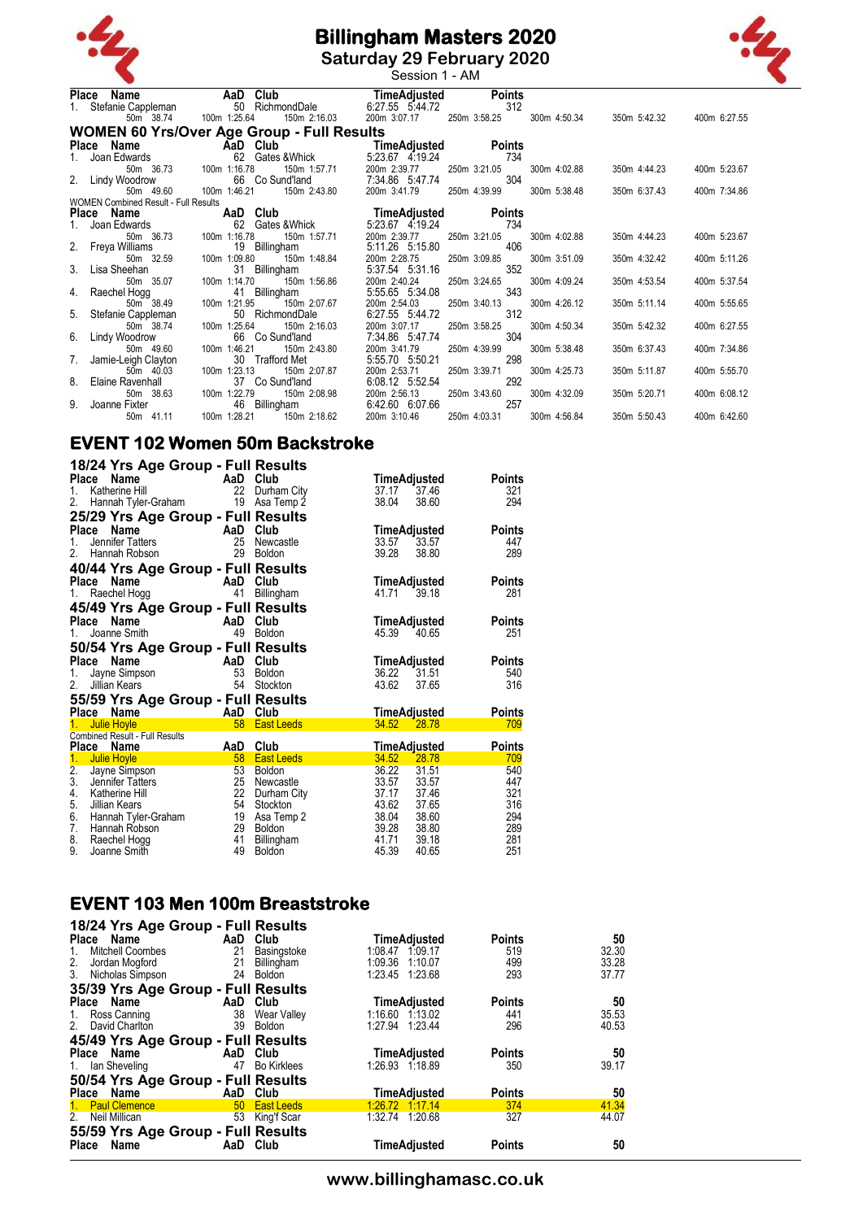

**Saturday 29 February 2020** Session 1 - AM

|    | Place Name                                        | AaD Club     | <b>aD Club</b> TimeAdjusted<br>50 RichmondDale 6:27.55 5:44.72 |                                 |              | <b>Points</b> |              |              |              |
|----|---------------------------------------------------|--------------|----------------------------------------------------------------|---------------------------------|--------------|---------------|--------------|--------------|--------------|
|    | Stefanie Cappleman                                |              |                                                                |                                 |              | 312           |              |              |              |
|    | 50m 38.74                                         | 100m 1:25.64 | 150m 2:16.03                                                   | 200m 3:07.17                    | 250m 3:58.25 |               | 300m 4:50.34 | 350m 5:42.32 | 400m 6:27.55 |
|    | <b>WOMEN 60 Yrs/Over Age Group - Full Results</b> |              |                                                                |                                 |              |               |              |              |              |
|    | Place Name                                        |              | AaD Club TimeAdjusted Points                                   |                                 |              |               |              |              |              |
|    | 1. Joan Edwards                                   |              | 62 Gates & Whick                                               | 5:23.67 4.19.24                 |              | 734           |              |              |              |
|    | 50m 36.73                                         | 100m 1:16.78 | 150m 1:57.71                                                   | 200m 2:39.77                    | 250m 3:21.05 |               | 300m 4:02.88 | 350m 4:44.23 | 400m 5:23.67 |
|    | 2. Lindy Woodrow                                  |              | 66 Co Sund'land                                                | 7:34.86 5:47.74                 |              | 304           |              |              |              |
|    | 50m 49.60                                         | 100m 1:46.21 | 150m 2:43.80                                                   | 200m 3:41.79                    | 250m 4:39.99 |               | 300m 5:38.48 | 350m 6:37.43 | 400m 7:34.86 |
|    | <b>WOMEN Combined Result - Full Results</b>       |              |                                                                |                                 |              |               |              |              |              |
|    | Place Name                                        | AaD Club     |                                                                | TimeAdjusted                    |              | <b>Points</b> |              |              |              |
|    | 1. Joan Edwards                                   | 62           | Gates &Whick                                                   | 5:23.67 4:19.24                 |              | 734           |              |              |              |
|    | 50m 36.73                                         | 100m 1:16.78 | 150m 1:57.71                                                   | 200m 2:39.77                    | 250m 3:21.05 |               | 300m 4:02.88 | 350m 4:44.23 | 400m 5:23.67 |
|    | 2. Freya Williams                                 |              | 19 Billingham                                                  | 5:11.26 5:15.80                 |              | 406           |              |              |              |
|    | 50m 32.59                                         | 100m 1:09.80 | 150m 1:48.84                                                   | 200m 2:28.75                    | 250m 3:09.85 | 352           | 300m 3:51.09 | 350m 4:32.42 | 400m 5:11.26 |
|    | 3. Lisa Sheehan<br>50m 35.07                      | 100m 1:14.70 | 31 Billingham<br>150m 1:56.86                                  | 5:37.54 5:31.16<br>200m 2:40.24 | 250m 3:24.65 |               | 300m 4:09.24 | 350m 4:53.54 | 400m 5:37.54 |
|    | 4. Raechel Hogg                                   |              | 41 Billingham                                                  | 5:55.65 5:34.08                 |              | 343           |              |              |              |
|    | 50m 38.49                                         | 100m 1:21.95 | 150m 2:07.67                                                   | 200m 2:54.03                    | 250m 3:40.13 |               | 300m 4:26.12 | 350m 5:11.14 | 400m 5:55.65 |
|    | 5. Stefanie Cappleman                             |              | 50 RichmondDale                                                | 6:27.55 5:44.72                 |              | 312           |              |              |              |
|    | 50m 38.74                                         | 100m 1:25.64 | 150m 2:16.03                                                   | 200m 3:07.17                    | 250m 3:58.25 |               | 300m 4:50.34 | 350m 5:42.32 | 400m 6:27.55 |
|    | 6. Lindy Woodrow                                  |              | 66 Co Sund'land                                                | 7:34.86 5:47.74                 |              | 304           |              |              |              |
|    | 50m 49.60                                         | 100m 1:46.21 | 150m 2:43.80                                                   | 200m 3:41.79                    | 250m 4:39.99 |               | 300m 5:38.48 | 350m 6:37.43 | 400m 7:34.86 |
|    | 7. Jamie-Leigh Clayton                            |              | 30 Trafford Met                                                | 5:55.70 5:50.21                 |              | 298           |              |              |              |
|    | 50m 40.03                                         | 100m 1:23.13 | 150m 2:07.87                                                   | 200m 2:53.71                    | 250m 3:39.71 |               | 300m 4:25.73 | 350m 5:11.87 | 400m 5:55.70 |
|    | 8. Elaine Ravenhall                               |              | 37 Co Sund'land                                                | 6:08.12 5:52.54                 |              | 292           |              |              |              |
|    | 50m 38.63                                         | 100m 1:22.79 | 150m 2:08.98                                                   | 200m 2:56.13                    | 250m 3:43.60 |               | 300m 4:32.09 | 350m 5:20.71 | 400m 6:08.12 |
| 9. | Joanne Fixter                                     |              | 46 Billingham                                                  | 6:42.60 6:07.66                 |              | 257           |              |              |              |
|    | 50m 41.11                                         | 100m 1:28.21 | 150m 2:18.62                                                   | 200m 3:10.46                    | 250m 4:03.31 |               | 300m 4:56.84 | 350m 5:50.43 | 400m 6:42.60 |
|    |                                                   |              |                                                                |                                 |              |               |              |              |              |

### **EVENT 102 Women 50m Backstroke**

| 18/24 Yrs Age Group - Full Results                         |          |                   |                             |       |               |
|------------------------------------------------------------|----------|-------------------|-----------------------------|-------|---------------|
| Place<br>Name                                              | AaD Club |                   | TimeAdjusted                |       | Points        |
| Katherine Hill<br>1.                                       | 22       | Durham City       | 37.17                       | 37.46 | 321           |
| 2.<br>Hannah Tyler-Graham                                  | 19       | Asa Temp 2        | 38.04                       | 38.60 | 294           |
| 25/29 Yrs Age Group - Full Results                         |          |                   |                             |       |               |
| <b>Place</b><br>Name                                       | AaD      | Club              | TimeAdjusted                |       | Points        |
| 1.<br>Jennifer Tatters                                     | 25       | Newcastle         | 33.57                       | 33.57 | 447           |
| 2 <sup>1</sup><br>Hannah Robson                            | 29       | Boldon            | 39.28                       | 38.80 | 289           |
| 40/44 Yrs Age Group - Full Results                         |          |                   |                             |       |               |
| Place<br>Name                                              | AaD Club |                   | TimeAdjusted                |       | Points        |
| Raechel Hogg<br>1.                                         | 41       | Billingham        | 41.71                       | 39.18 | 281           |
|                                                            |          |                   |                             |       |               |
| 45/49 Yrs Age Group - Full Results<br><b>Place</b><br>Name | AaD      | Club              |                             |       | Points        |
| Joanne Smith<br>1.                                         | 49       | <b>Boldon</b>     | TimeAdjusted<br>45.39       | 40.65 | 251           |
|                                                            |          |                   |                             |       |               |
| 50/54 Yrs Age Group - Full Results                         |          |                   |                             |       |               |
| Place<br>Name                                              | AaD Club |                   | TimeAdjusted<br>36.22 31.51 |       | Points        |
| Jayne Simpson<br>1.<br>2.                                  | 53<br>54 | <b>Boldon</b>     | 43.62                       | 37.65 | 540<br>316    |
| Jillian Kears                                              |          | Stockton          |                             |       |               |
| 55/59 Yrs Age Group - Full Results                         |          |                   |                             |       |               |
| Place Name                                                 | AaD      | Club              | <b>TimeAdjusted</b>         |       | <b>Points</b> |
| <b>Julie Hoyle</b>                                         | 58       | <b>East Leeds</b> | 34.52                       | 28.78 | 709           |
| Combined Result - Full Results<br>Place Name               | AaD      | Club              | <u>TimeAdjusted</u>         |       | <b>Points</b> |
| 1 <sub>1</sub><br><b>Julie Hoyle</b>                       | 58       | <b>East Leeds</b> | 34.52                       | 28.78 | 709           |
| $\overline{2}$ .<br>Jayne Simpson                          | 53       | Boldon            | 36.22                       | 31.51 | 540           |
| 3.<br>Jennifer Tatters                                     | 25       | Newcastle         | 33.57                       | 33.57 | 447           |
| 4.<br>Katherine Hill                                       | 22       | Durham City       | 37.17                       | 37.46 | 321           |
| 5.<br>Jillian Kears                                        | 54       | Stockton          | 43.62                       | 37.65 | 316           |
| 6.<br>Hannah Tyler-Graham                                  | 19       | Asa Temp 2        | 38.04                       | 38.60 | 294           |
| 7.<br>Hannah Robson                                        | 29       | <b>Boldon</b>     | 39.28                       | 38.80 | 289           |
| 8.<br>Raechel Hogg                                         | 41       | Billingham        | 41.71                       | 39.18 | 281           |
| 9.<br>Joanne Smith                                         | 49       | <b>Boldon</b>     | 45.39                       | 40.65 | 251           |

### **EVENT 103 Men 100m Breaststroke**

| 18/24 Yrs Age Group - Full Results  |     |                    |                     |               |       |
|-------------------------------------|-----|--------------------|---------------------|---------------|-------|
| Place Name                          | AaD | Club               | <b>TimeAdjusted</b> | <b>Points</b> | 50    |
| Mitchell Coombes<br>$1_{\cdot}$     | 21  | Basingstoke        | 1:08.47 1:09.17     | 519           | 32.30 |
| Jordan Mogford                      | 21  | Billingham         | 1:09.36<br>1:10.07  | 499           | 33.28 |
| $\frac{2}{3}$ .<br>Nicholas Simpson | 24  | <b>Boldon</b>      | 1:23.45 1:23.68     | 293           | 37.77 |
| 35/39 Yrs Age Group - Full Results  |     |                    |                     |               |       |
| Place Name                          | AaD | Club               | <b>TimeAdjusted</b> | <b>Points</b> | 50    |
| 1. Ross Canning                     | 38  | Wear Valley        | 1:16.60 1:13.02     | 441           | 35.53 |
| David Charlton<br>2 <sub>1</sub>    | 39  | <b>Boldon</b>      | 1:27.94<br>1:23.44  | 296           | 40.53 |
|                                     |     |                    |                     |               |       |
| 45/49 Yrs Age Group - Full Results  |     |                    |                     |               |       |
| Place Name                          | AaD | Club               | <b>TimeAdjusted</b> | <b>Points</b> | 50    |
| 1. Ian Sheveling                    | 47  | <b>Bo Kirklees</b> | 1:26.93 1.18.89     | 350           | 39.17 |
| 50/54 Yrs Age Group - Full Results  |     |                    |                     |               |       |
| Place Name                          | AaD | Club               | <b>TimeAdjusted</b> | <b>Points</b> | 50    |
| 1. Paul Clemence                    |     | 50 East Leeds      | 1:26.72 1:17.14     | 374           | 41.34 |
| Neil Millican<br>2 <sup>2</sup>     | 53  | King'f Scar        | 1:32.74 1:20.68     | 327           | 44.07 |
| 55/59 Yrs Age Group - Full Results  |     |                    |                     |               |       |
| Name<br>Place                       | AaD | Club               | TimeAdjusted        | <b>Points</b> | 50    |

### **www.billinghamasc.co.uk**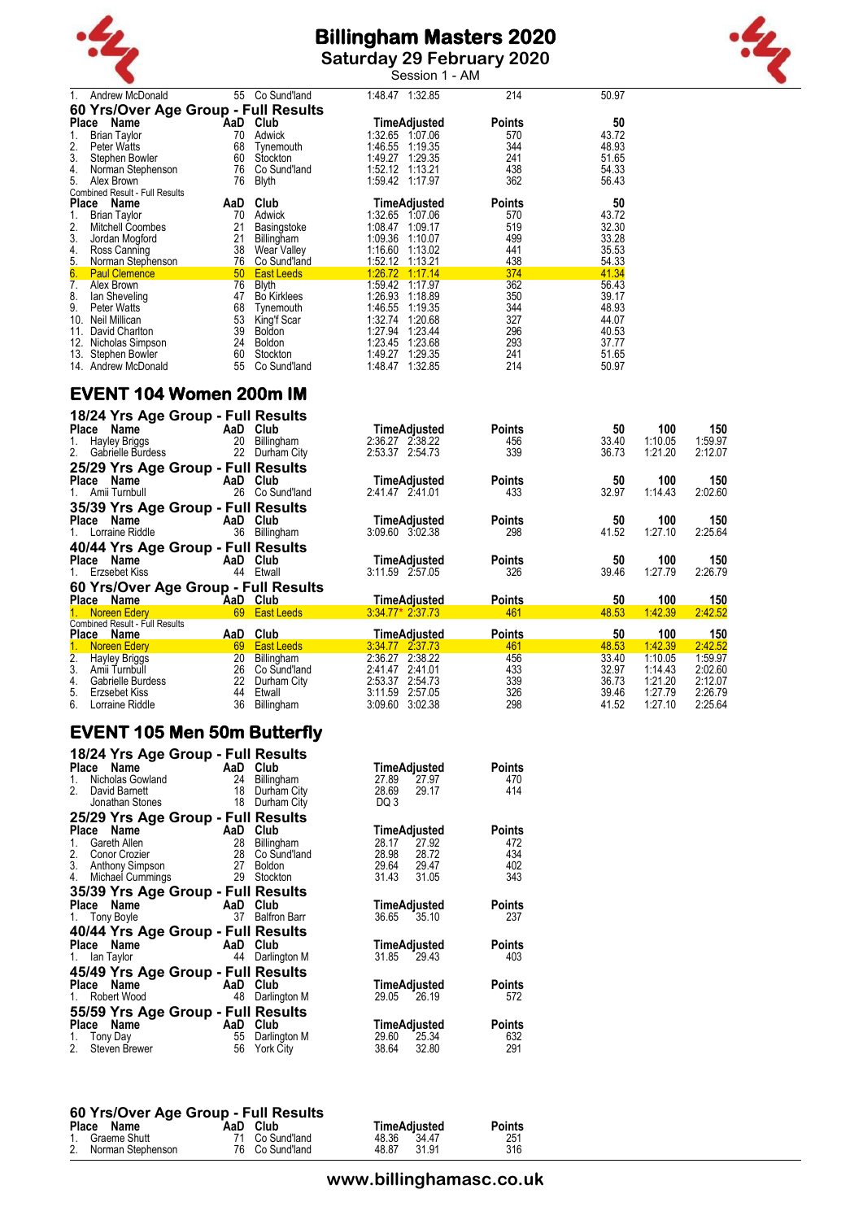

**Saturday 29 February 2020** Session 1 - AM



| 1. Andrew McDonald                                                          |          | 55 Co Sund'land                                                                                                                                                                                                                      | 1:48.47 1:32.85                    | 214           | 50.97          |         |            |
|-----------------------------------------------------------------------------|----------|--------------------------------------------------------------------------------------------------------------------------------------------------------------------------------------------------------------------------------------|------------------------------------|---------------|----------------|---------|------------|
| 60 Yrs/Over Age Group - Full Results                                        |          |                                                                                                                                                                                                                                      |                                    |               |                |         |            |
| Place Name                                                                  |          | AaD Club                                                                                                                                                                                                                             | TimeAdjusted                       | <b>Points</b> | 50             |         |            |
| 1.<br><b>Brian Taylor</b>                                                   |          | 70 Adwick                                                                                                                                                                                                                            | 1:32.65 1:07.06                    | 570           | 43.72          |         |            |
| 2.<br>Peter Watts                                                           | 68       | Tynemouth                                                                                                                                                                                                                            | 1:46.55 1:19.35                    | 344           | 48.93          |         |            |
| 3.<br>Stephen Bowler                                                        |          | 60 Stockton                                                                                                                                                                                                                          | 1:49.27 1:29.35                    | 241           | 51.65          |         |            |
| 4.<br>Norman Stephenson                                                     |          | 76 Co Sund'land                                                                                                                                                                                                                      | 1:52.12 1:13.21                    | 438           | 54.33          |         |            |
| 5.<br>Alex Brown                                                            |          | 76 Blyth                                                                                                                                                                                                                             | 1:59.42 1:17.97                    | 362           | 56.43          |         |            |
| Combined Result - Full Results                                              |          |                                                                                                                                                                                                                                      |                                    |               |                |         |            |
| Place Name                                                                  |          | AaD Club                                                                                                                                                                                                                             | <b>TimeAdjusted</b>                | <b>Points</b> | 50             |         |            |
| 1.<br>Brian Taylor                                                          |          | 70 Adwick                                                                                                                                                                                                                            | 1:32.65 1:07.06                    | 570           | 43.72          |         |            |
| 2.<br>Mitchell Coombes                                                      | 21       | Basingstoke                                                                                                                                                                                                                          | 1:08.47 1:09.17                    | 519           | 32.30          |         |            |
| 3.<br>Jordan Mogford                                                        | 21       | Billingham                                                                                                                                                                                                                           | 1:09.36 1:10.07                    | 499           | 33.28          |         |            |
| 4. Ross Canning                                                             |          | 38 Wear Valley                                                                                                                                                                                                                       | 1:16.60 1:13.02                    | 441           | 35.53          |         |            |
| $\frac{5}{6}$<br>Norman Stephenson                                          |          | 76 Co Sund'land                                                                                                                                                                                                                      | 1:52.12 1:13.21                    | 438           | 54.33          |         |            |
| <b>Paul Clemence</b>                                                        |          | 50 East Leeds                                                                                                                                                                                                                        | 1:26.72 1:17.14                    | 374           | 41.34          |         |            |
| 7. Alex Brown                                                               |          | 76 Blyth                                                                                                                                                                                                                             | 1:59.42 1:17.97                    | 362           | 56.43          |         |            |
| 8.<br>lan Sheveling                                                         |          | 47 Bo Kirklees                                                                                                                                                                                                                       | 1:26.93 1:18.89                    | 350           | 39.17          |         |            |
| 9.<br><b>Peter Watts</b>                                                    |          | 68 Tynemouth                                                                                                                                                                                                                         | 1:46.55 1:19.35                    | 344           | 48.93          |         |            |
| 10. Neil Millican                                                           |          | 53 King'f Scar                                                                                                                                                                                                                       | 1:32.74 1:20.68                    | 327           | 44.07          |         |            |
| 11. David Charlton                                                          |          | 39 Boldon                                                                                                                                                                                                                            | 1:27.94 1:23.44                    | 296           | 40.53          |         |            |
| 12. Nicholas Simpson                                                        |          | 24 Boldon<br>60 Stockton                                                                                                                                                                                                             | 1:23.45 1:23.68<br>1:49.27 1:29.35 | 293<br>241    | 37.77<br>51.65 |         |            |
| 13. Stephen Bowler<br>14. Andrew McDonald                                   |          | 55 Co Sund'land                                                                                                                                                                                                                      | 1:48.47 1:32.85                    | 214           | 50.97          |         |            |
|                                                                             |          |                                                                                                                                                                                                                                      |                                    |               |                |         |            |
| EVENT 104 Women 200m IM<br>18/24 Yrs Age Group - Full Results<br>Place Name |          | AaD Club                                                                                                                                                                                                                             | <b>TimeAdjusted</b>                | <b>Points</b> | 50             | 100     | 150        |
| 1. Hayley Briggs                                                            |          | 20 Billingham                                                                                                                                                                                                                        | 2:36.27 2:38.22                    | 456           | 33.40          | 1:10.05 | 1:59.97    |
| 2. Gabrielle Burdess                                                        |          | 22 Durham City                                                                                                                                                                                                                       | 2:53.37 2:54.73                    | 339           | 36.73          | 1:21.20 | 2:12.07    |
|                                                                             |          |                                                                                                                                                                                                                                      |                                    |               |                |         |            |
| 25/29 Yrs Age Group - Full Results                                          |          |                                                                                                                                                                                                                                      |                                    |               |                |         |            |
| Place Name                                                                  |          | AaD Club                                                                                                                                                                                                                             | TimeAdjusted                       | <b>Points</b> | 50             | 100     | 150        |
| 1. Amii Turnbull                                                            |          | 26 Co Sund'land                                                                                                                                                                                                                      | 2:41.47 2:41.01                    | 433           | 32.97          | 1:14.43 | 2:02.60    |
| 35/39 Yrs Age Group - Full Results                                          |          |                                                                                                                                                                                                                                      |                                    |               |                |         |            |
| Place Name                                                                  |          | AaD Club                                                                                                                                                                                                                             | TimeAdjusted                       | <b>Points</b> | 50             | 100     | 150        |
| 1. Lorraine Riddle                                                          |          | 36 Billingham                                                                                                                                                                                                                        | 3:09.60 3:02.38                    | 298           | 41.52          | 1:27.10 | 2:25.64    |
| 40/44 Yrs Age Group - Full Results                                          |          |                                                                                                                                                                                                                                      |                                    |               |                |         |            |
| Place Name                                                                  |          | AaD Club                                                                                                                                                                                                                             | TimeAdjusted                       | <b>Points</b> | 50             | 100     | 150        |
| 1. Erzsebet Kiss                                                            |          | 44 Etwall                                                                                                                                                                                                                            | 3:11.59 2.57.05                    | 326           | 39.46          | 1:27.79 | 2:26.79    |
| 60 Yrs/Over Age Group - Full Results                                        |          |                                                                                                                                                                                                                                      |                                    |               |                |         |            |
| Place Name<br><b>Example 2</b> AaD Club                                     |          |                                                                                                                                                                                                                                      | <b>TimeAdjusted</b>                | <b>Points</b> | 50             | 100     | <u>150</u> |
| 1. Noreen Edery                                                             |          | <b>Example 19 Contract Contract Contract Contract Contract Contract Contract Contract Contract Contract Contract Contract Contract Contract Contract Contract Contract Contract Contract Contract Contract Contract Contract Con</b> | $3:34.77*2.37.73$                  | 461           | 48.53          | 1:42.39 | 2:42.52    |
| <b>Combined Result - Full Results</b>                                       |          |                                                                                                                                                                                                                                      |                                    |               |                |         |            |
| Place Name                                                                  | AaD Club |                                                                                                                                                                                                                                      | <b>TimeAdjusted</b>                | <b>Points</b> | 50             | 100     | <u>150</u> |
| 1. Noreen Edery 69 East Leeds                                               |          |                                                                                                                                                                                                                                      | 3:34.77 2:37.73                    | 461           | 48.53          | 1:42.39 | 2:42.52    |
| 2.<br><b>Hayley Briggs</b>                                                  |          | 20 Billingham                                                                                                                                                                                                                        | 2:36.27 2:38.22                    | 456           | 33.40          | 1:10.05 | 1:59.97    |
| 3.<br>Amii Turnbull                                                         |          | 26 Co Sund'land                                                                                                                                                                                                                      | 2:41.47 2:41.01                    | 433           | 32.97          | 1:14.43 | 2:02.60    |
| 4.<br>Gabrielle Burdess                                                     |          | 22 Durham City                                                                                                                                                                                                                       | 2:53.37 2:54.73                    | 339           | 36.73          | 1:21.20 | 2:12.07    |
| 5.<br>Erzsebet Kiss                                                         |          | 44 Etwall                                                                                                                                                                                                                            | 3:11.59 2:57.05                    | 326           | 39.46          | 1:27.79 | 2:26.79    |
| 6.<br>Lorraine Riddle                                                       |          | 36 Billingham                                                                                                                                                                                                                        | 3:09.60 3:02.38                    | 298           | 41.52          | 1:27.10 | 2:25.64    |
|                                                                             |          |                                                                                                                                                                                                                                      |                                    |               |                |         |            |
| EVENIT ARE Man ERm Buttarfly                                                |          |                                                                                                                                                                                                                                      |                                    |               |                |         |            |

### **EVENT 105 Men 50m Butterfly**

| 18/24 Yrs Age Group - Full Results<br>Name<br>Place | AaD | Club                |             | TimeAdjusted        | Points        |
|-----------------------------------------------------|-----|---------------------|-------------|---------------------|---------------|
| Nicholas Gowland<br>$1_{-}$                         | 24  | Billingham          | 27.89       | 27.97               | 470           |
| 2.<br>David Barnett                                 | 18  | Durham City         | 28.69       | 29.17               | 414           |
| Jonathan Stones                                     | 18  | Durham City         | DQ 3        |                     |               |
| 25/29 Yrs Age Group - Full Results                  |     |                     |             |                     |               |
| Place<br>Name                                       | AaD | Club                |             | <b>TimeAdjusted</b> | <b>Points</b> |
| Gareth Allen<br>1.                                  | 28  | Billingham          | 28.17       | 27.92               | 472           |
| 2.<br>Conor Crozier                                 | 28  | Co Sund'land        | 28.98       | 28.72               | 434           |
| 3. Anthony Simpson                                  | 27  | <b>Boldon</b>       | 29.64 29.47 |                     | 402           |
| Michael Cummings<br>4.                              | 29  | Stockton            | 31.43       | 31.05               | 343           |
| 35/39 Yrs Age Group - Full Results                  |     |                     |             |                     |               |
| Place Name                                          | AaD | Club                |             | TimeAdjusted        | <b>Points</b> |
| 1. Tony Boyle                                       | 37  | <b>Balfron Barr</b> | 36.65       | 35.10               | 237           |
| 40/44 Yrs Age Group - Full Results                  |     |                     |             |                     |               |
| Place Name                                          | AaD | Club                |             | TimeAdjusted        | <b>Points</b> |
| 1. Ian Taylor                                       | 44  | Darlington M        | 31.85       | 29.43               | 403           |
| 45/49 Yrs Age Group - Full Results                  |     |                     |             |                     |               |
| Name<br>Place                                       | AaD | Club                |             | TimeAdjusted        | <b>Points</b> |
| Robert Wood<br>$1_{\cdot}$                          | 48  | Darlington M        | 29.05       | 26.19               | 572           |
| 55/59 Yrs Age Group - Full Results                  |     |                     |             |                     |               |
| Name<br>Place                                       | AaD | Club                |             | <b>TimeAdjusted</b> | <b>Points</b> |
| Tony Day<br>1.                                      | 55  | Darlington M        | 29.60       | 25.34               | 632           |
| 2.<br>Steven Brewer                                 | 56  | York City           | 38.64       | 32.80               | 291           |

#### **60 Yrs/Over Age Group - Full Results**

| <b>Place</b> | Name                 | AaD Club        | TimeAdjusted   | <b>Points</b> |
|--------------|----------------------|-----------------|----------------|---------------|
|              | 1. Graeme Shutt      | 71 Co Sund'land | 48.36 34.47    | 251           |
|              | 2. Norman Stephenson | 76 Co Sund'land | 31.91<br>48.87 | 316           |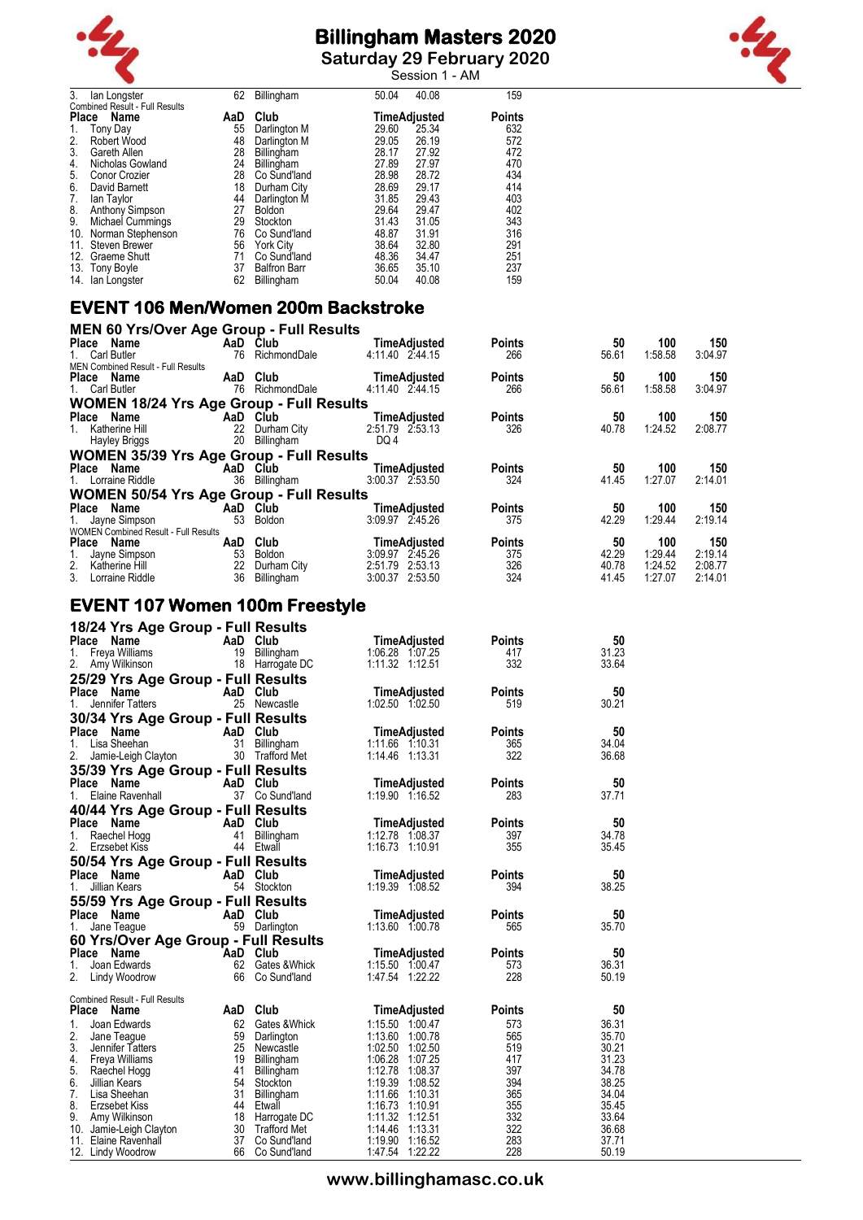



**Saturday 29 February 2020** Session 1 - AM

| 3.    | lan Longster                   | 62  | Billingham          | 50.04 | 40.08        | 159           |
|-------|--------------------------------|-----|---------------------|-------|--------------|---------------|
|       | Combined Result - Full Results |     |                     |       |              |               |
| Place | Name                           | AaD | Club                |       | TimeAdjusted | <b>Points</b> |
|       | Tony Day                       | 55  | Darlington M        | 29.60 | 25.34        | 632           |
| 2.    | Robert Wood                    | 48  | Darlington M        | 29.05 | 26.19        | 572           |
| 3.    | Gareth Allen                   | 28  | Billingham          | 28.17 | 27.92        | 472           |
| 4.    | Nicholas Gowland               | 24  | Billingham          | 27.89 | 27.97        | 470           |
| 5.    | Conor Crozier                  | 28  | Co Sund'land        | 28.98 | 28.72        | 434           |
| 6.    | David Barnett                  | 18  | Durham City         | 28.69 | 29.17        | 414           |
| 7.    | lan Taylor                     | 44  | Darlington M        | 31.85 | 29.43        | 403           |
| 8.    | Anthony Simpson                | 27  | <b>Boldon</b>       | 29.64 | 29.47        | 402           |
| 9.    | Michael Cummings               | 29  | Stockton            | 31.43 | 31.05        | 343           |
| 10.   | Norman Stephenson              | 76  | Co Sund'land        | 48.87 | 31.91        | 316           |
| 11.   | Steven Brewer                  | 56  | York City           | 38.64 | 32.80        | 291           |
| 12.   | Graeme Shutt                   | 71  | Co Sund'land        | 48.36 | 34.47        | 251           |
| 13.   | Tony Boyle                     | 37  | <b>Balfron Barr</b> | 36.65 | 35.10        | 237           |
| 14.   | lan Longster                   | 62  | Billingham          | 50.04 | 40.08        | 159           |

# **EVENT 106 Men/Women 200m Backstroke**

| <b>MEN 60 Yrs/Over Age Group - Full Results</b> |     |              |                 |                     |               |       |         |         |
|-------------------------------------------------|-----|--------------|-----------------|---------------------|---------------|-------|---------|---------|
| Name<br><b>Place</b>                            |     | AaD Club     |                 | <b>TimeAdjusted</b> | <b>Points</b> | 50    | 100     | 150     |
| 1. Carl Butler                                  | 76  | RichmondDale | 4:11.40 2:44.15 |                     | 266           | 56.61 | 1:58.58 | 3:04.97 |
| <b>MEN Combined Result - Full Results</b>       |     |              |                 |                     |               |       |         |         |
| Place Name                                      | AaD | Club         |                 | <b>TimeAdjusted</b> | <b>Points</b> | 50    | 100     | 150     |
| 1. Carl Butler                                  | 76  | RichmondDale | 4:11.40 2:44.15 |                     | 266           | 56.61 | 1:58.58 | 3:04.97 |
| <b>WOMEN 18/24 Yrs Age Group - Full Results</b> |     |              |                 |                     |               |       |         |         |
| Place Name                                      |     | AaD Club     |                 | TimeAdjusted        | <b>Points</b> | 50    | 100     | 150     |
| Katherine Hill<br>1.                            | 22  | Durham City  | 2:51.79 2:53.13 |                     | 326           | 40.78 | 1:24.52 | 2:08.77 |
| <b>Hayley Briggs</b>                            | 20  | Billingham   | DQ 4            |                     |               |       |         |         |
| <b>WOMEN 35/39 Yrs Age Group - Full Results</b> |     |              |                 |                     |               |       |         |         |
| Place Name                                      |     | AaD Club     |                 | <b>TimeAdjusted</b> | <b>Points</b> | 50    | 100     | 150     |
| 1. Lorraine Riddle                              | 36  | Billingham   | 3:00.37 2:53.50 |                     | 324           | 41.45 | 1:27.07 | 2:14.01 |
| <b>WOMEN 50/54 Yrs Age Group - Full Results</b> |     |              |                 |                     |               |       |         |         |
| Name<br>Place                                   |     | AaD Club     |                 | TimeAdjusted        | <b>Points</b> | 50    | 100     | 150     |
| Jayne Simpson<br>1.                             | 53  | Boldon       | 3:09.97 2:45.26 |                     | 375           | 42.29 | 1:29.44 | 2:19.14 |
| <b>WOMEN Combined Result - Full Results</b>     |     |              |                 |                     |               |       |         |         |
| <b>Place</b><br>Name                            | AaD | Club         |                 | <b>TimeAdjusted</b> | <b>Points</b> | 50    | 100     | 150     |
| Jayne Simpson<br>1.                             | 53  | Boldon       | 3:09.97 2:45.26 |                     | 375           | 42.29 | 1:29.44 | 2:19.14 |
| 2. Katherine Hill                               | 22  | Durham City  | 2:51.79         | 2:53.13             | 326           | 40.78 | 1:24.52 | 2:08.77 |
| 3. Lorraine Riddle                              | 36  | Billingham   | 3:00.37 2:53.50 |                     | 324           | 41.45 | 1:27.07 | 2:14.01 |

### **EVENT 107 Women 100m Freestyle**

| 18/24 Yrs Age Group - Full Results               |          |                                 |                                    |               |                |
|--------------------------------------------------|----------|---------------------------------|------------------------------------|---------------|----------------|
| Place Name                                       | AaD Club |                                 | TimeAdjusted                       | <b>Points</b> | 50             |
| Freya Williams<br>1.                             | 19       | Billingham                      | 1:06.28 1:07.25                    | 417           | 31.23          |
| 2.<br>Amy Wilkinson                              |          | 18 Harrogate DC                 | 1:11.32 1:12.51                    | 332           | 33.64          |
| 25/29 Yrs Age Group - Full Results               |          |                                 |                                    |               |                |
| Place Name                                       | AaD Club |                                 | <b>TimeAdjusted</b>                | <b>Points</b> | 50             |
| 1.<br>Jennifer Tatters                           |          | 25 Newcastle                    | 1:02.50 1:02.50                    | 519           | 30.21          |
| 30/34 Yrs Age Group - Full Results               |          |                                 |                                    |               |                |
| <b>Place</b><br>Name                             | AaD      | Club                            | TimeAdjusted                       | <b>Points</b> | 50             |
| Lisa Sheehan<br>1.                               | 31       | Billingham                      | 1:11.66 1.10.31                    | 365           | 34.04          |
| 2.<br>Jamie-Leigh Clayton                        |          | 30 Trafford Met                 | 1:14.46 1:13.31                    | 322           | 36.68          |
| 35/39 Yrs Age Group - Full Results               |          |                                 |                                    |               |                |
| Place<br>Name                                    | AaD      | Club                            | <b>TimeAdjusted</b>                | <b>Points</b> | 50             |
| Elaine Ravenhall<br>1.                           |          | 37 Co Sund'land                 | 1:19.90 1:16.52                    | 283           | 37.71          |
| 40/44 Yrs Age Group - Full Results               |          |                                 |                                    |               |                |
| Place Name                                       | AaD      | Club                            | <b>TimeAdjusted</b>                | <b>Points</b> | 50             |
| 1.<br>Raechel Hogg                               | 41       | Billingham                      |                                    | 397           | 34.78          |
| 2.<br>Erzsebet Kiss                              |          | 44 Etwall                       | 1:16.73 1:10.91                    | 355           | 35.45          |
| 50/54 Yrs Age Group - Full Results               |          |                                 |                                    |               |                |
| Place<br>Name                                    | AaD Club |                                 | TimeAdjusted                       | <b>Points</b> | 50             |
| Jillian Kears<br>1.                              |          | 54 Stockton                     | 1:19.39 1:08.52                    | 394           | 38.25          |
|                                                  |          |                                 |                                    |               |                |
| 55/59 Yrs Age Group - Full Results<br>Place Name | AaD Club |                                 |                                    | <b>Points</b> |                |
| 1.                                               |          |                                 | TimeAdjusted<br>1:13.60 1:00.78    | 565           | 50<br>35.70    |
| Jane Teague                                      |          | 59 Darlington                   |                                    |               |                |
| 60 Yrs/Over Age Group - Full Results             |          |                                 |                                    |               |                |
| Place<br>Name                                    | AaD Club |                                 | TimeAdjusted                       | <b>Points</b> | 50             |
| 1.<br>Joan Edwards<br>2.<br>Lindy Woodrow        | 62<br>66 | Gates & Whick<br>Co Sund'land   | 1:15.50 1:00.47<br>1:47.54 1:22.22 | 573<br>228    | 36.31<br>50.19 |
|                                                  |          |                                 |                                    |               |                |
| <b>Combined Result - Full Results</b>            |          |                                 |                                    |               |                |
| Place Name                                       | AaD Club |                                 | <b>TimeAdjusted</b>                | <b>Points</b> | 50             |
| $\mathbf{1}$ .<br>Joan Edwards                   | 62       | Gates & Whick                   | 1:15.50 1:00.47                    | 573           | 36.31          |
| 2.<br>Jane Teague                                | 59       | Darlington                      | 1:13.60 1:00.78                    | 565           | 35.70          |
| 3.<br>Jennifer Tatters                           | 25       | Newcastle                       | 1:02.50 1:02.50                    | 519           | 30.21          |
| 4. Freya Williams                                | 19       | Billingham                      | 1:06.28 1:07.25                    | 417           | 31.23          |
| 5.<br>Raechel Hogg                               | 41       | Billingham                      | 1:12.78 1:08.37                    | 397           | 34.78          |
| 6.<br>Jillian Kears                              | 54       | Stockton                        | 1:19.39 1:08.52                    | 394           | 38.25          |
| 7.<br>Lisa Sheehan                               | 31       | <b>Billingham</b>               | 1:11.66 1:10.31                    | 365           | 34.04          |
| 8.<br>Erzsebet Kiss                              |          | 44 Etwall                       | 1:16.73 1:10.91                    | 355           | 35.45          |
| 9.<br>Amy Wilkinson                              | 30       | 18 Harrogate DC<br>Trafford Met | 1:11.32 1:12.51<br>1:14.46 1:13.31 | 332<br>322    | 33.64<br>36.68 |
| 10. Jamie-Leigh Clayton                          |          |                                 |                                    |               |                |
|                                                  |          |                                 |                                    |               |                |
| 11. Elaine Ravenhall<br>12. Lindy Woodrow        | 37<br>66 | Co Sund'land<br>Co Sund'land    | 1:19.90 1:16.52<br>1:47.54 1:22.22 | 283<br>228    | 37.71<br>50.19 |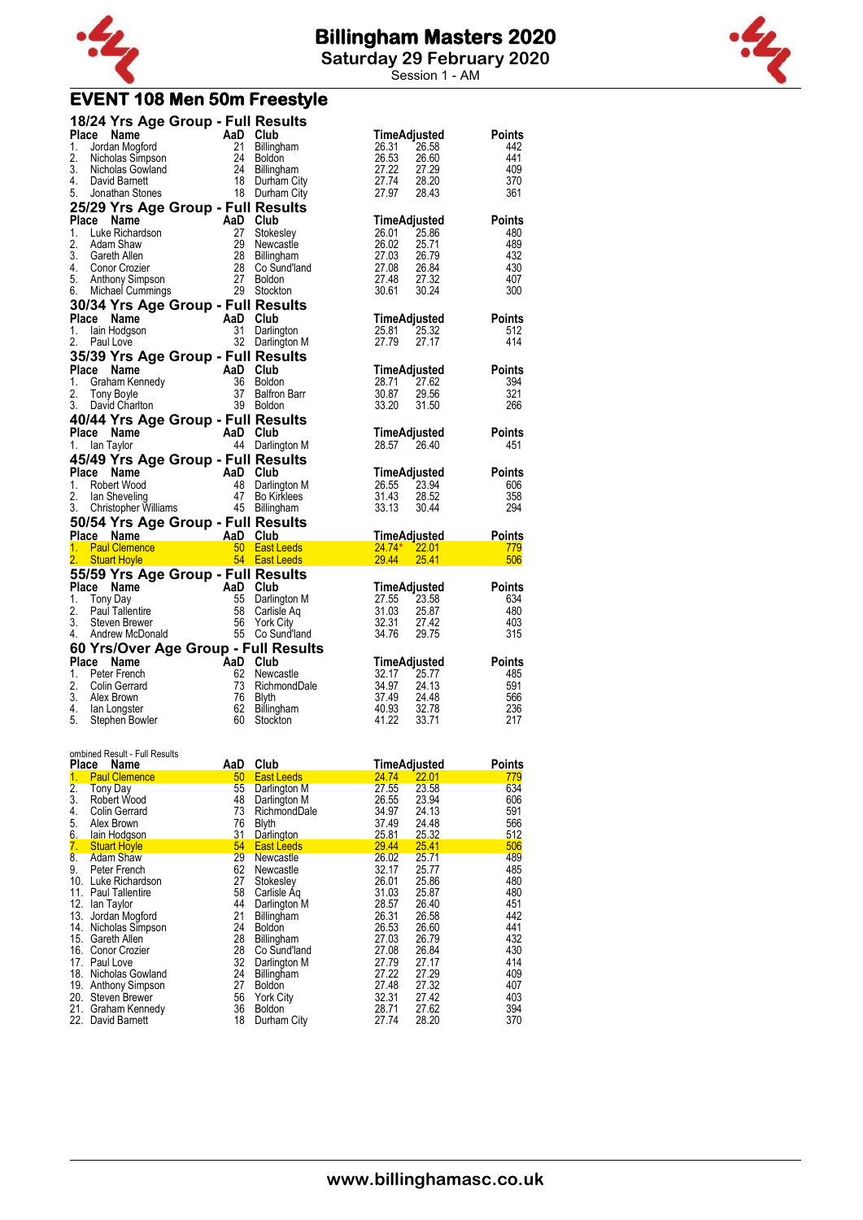

**Saturday 29 February 2020**

Session 1 - AM

### **EVENT 108 Men 50m Freestyle**

|              | 18/24 Yrs Age Group - Full Results                                                                                                                                                                                             |                                                    |                                              |                                                                   |                   |
|--------------|--------------------------------------------------------------------------------------------------------------------------------------------------------------------------------------------------------------------------------|----------------------------------------------------|----------------------------------------------|-------------------------------------------------------------------|-------------------|
| Place        | 124 The Chapter Control Control Control Control Control Control Control Control Control Control Control Control Control Control Control Control Control Control Control Control Control Control Control Control Control Contro |                                                    |                                              | TimeAdjusted                                                      | Points            |
| 1.           |                                                                                                                                                                                                                                |                                                    |                                              | 26.58<br>26.31                                                    | 442<br>441        |
| 2.<br>3.     |                                                                                                                                                                                                                                |                                                    |                                              | 20.01<br>26.53<br>27.22<br>27.74<br>27.97<br>26.60<br>27.29       | 409               |
| 4.           |                                                                                                                                                                                                                                |                                                    |                                              | 28.20                                                             | 370               |
| 5.           |                                                                                                                                                                                                                                |                                                    |                                              | 27.97<br>28.43                                                    | 361               |
|              | 25/29 Yrs Age Group - Full Results                                                                                                                                                                                             |                                                    |                                              |                                                                   |                   |
| Place        |                                                                                                                                                                                                                                |                                                    |                                              | TimeAdjusted                                                      | <b>Points</b>     |
| 1.           |                                                                                                                                                                                                                                |                                                    | Stokesley                                    | 25.86                                                             | 480               |
| 2.<br>3.     |                                                                                                                                                                                                                                |                                                    | Newcastle<br>Billingham                      | 25.71<br>26.79                                                    | 489<br>432        |
|              | 4. Conor Crozier                                                                                                                                                                                                               |                                                    | Co Sund'land                                 | 26.84                                                             | 430               |
| 5.           |                                                                                                                                                                                                                                |                                                    |                                              | 27.32                                                             | 407               |
| 6.           | Comparison and Club<br>Luke Richardson<br>AaD Club<br>Luke Richardson<br>Gareth Allen<br>Conor Crozier 28 Co Sund<br>Anthony Simpson<br>Michael Cummings 27 Boldon<br>Michael Cummings 29 Stockton                             |                                                    |                                              | <b>Tim.</b><br>26.01<br>26.02<br>27.08<br>27.48<br>30.61<br>30.24 | 300               |
|              | 30/34 Yrs Age Group - Full Results                                                                                                                                                                                             |                                                    |                                              |                                                                   |                   |
|              | Place Name                                                                                                                                                                                                                     | AaD Club<br>31 Darlin<br>32 Darlin                 |                                              | TimeAdjusted                                                      | Points            |
| 1.<br>2.     | lain Hodgson<br>Paul Love                                                                                                                                                                                                      |                                                    | Darlington                                   | 25.81<br>25.32<br>27.79<br>27.17                                  | 512<br>414        |
|              |                                                                                                                                                                                                                                |                                                    | 32 Darlington M                              |                                                                   |                   |
| <b>Place</b> | 35/39 Yrs Age Group - Full Results                                                                                                                                                                                             |                                                    |                                              | TimeAdjusted                                                      | <b>Points</b>     |
| 1.           |                                                                                                                                                                                                                                |                                                    | Boldon                                       | 28.71<br>27.62                                                    | 394               |
| 2.           |                                                                                                                                                                                                                                |                                                    | <b>Balfron Barr</b>                          | 30.87                                                             | 321               |
| 3.           | CHE <b>Name</b><br>Craham Kennedy<br>Craham Kennedy<br>Tony Boyle<br>David Charlton<br>David Charlton<br>29 Roldon<br>39 Roldon                                                                                                |                                                    | 39 Boldon                                    | 29.56<br>31.50<br>33.20                                           | 266               |
|              |                                                                                                                                                                                                                                |                                                    |                                              |                                                                   |                   |
|              |                                                                                                                                                                                                                                |                                                    |                                              |                                                                   |                   |
|              | Place Name                                                                                                                                                                                                                     | 40/44 Yrs Age Group - Full Results                 |                                              | TimeAdjusted                                                      | <b>Points</b>     |
| 1.           | lan Taylor                                                                                                                                                                                                                     | $\overline{AB}$ Club                               | 44 Darlington M                              | 28.57<br>26.40                                                    | 451               |
|              | 45/49 Yrs Age Group - Full Results                                                                                                                                                                                             |                                                    |                                              |                                                                   |                   |
|              | Place Name                                                                                                                                                                                                                     |                                                    |                                              | TimeAdjusted                                                      | <b>Points</b>     |
| 1.           |                                                                                                                                                                                                                                |                                                    | Darlington M                                 | 26.55<br>23.94                                                    | 606               |
| 2.<br>3.     |                                                                                                                                                                                                                                |                                                    | <b>Bo Kirklees</b>                           | 31.43<br>28.52<br>33.13<br>30.44                                  | 358<br>294        |
|              | Compared to the Manusov of Anti-<br>Robert Wood 48 Darlington<br>Ian Sheveling 47 Bo Kirklees<br>Christopher Williams 45 Billingham                                                                                            |                                                    |                                              |                                                                   |                   |
|              | 50/54 Yrs Age Group - Full Results                                                                                                                                                                                             |                                                    |                                              | TimeAdjusted                                                      | Points            |
|              |                                                                                                                                                                                                                                |                                                    | 50 East Leeds                                | $24.74*$<br>22.01                                                 | 779               |
|              |                                                                                                                                                                                                                                |                                                    |                                              | 29.44<br>25.41                                                    | 506               |
|              |                                                                                                                                                                                                                                |                                                    |                                              |                                                                   |                   |
|              |                                                                                                                                                                                                                                |                                                    |                                              | TimeAdjusted                                                      | <b>Points</b>     |
|              |                                                                                                                                                                                                                                |                                                    | Darlington M                                 | 27.55<br>31.03                                                    | 634<br>480        |
|              |                                                                                                                                                                                                                                |                                                    |                                              | 32.31                                                             | 403               |
|              |                                                                                                                                                                                                                                |                                                    | 55 Co Sund'land                              | 23.58<br>25.87<br>27.42<br>29.75<br>34.76                         | 315               |
|              | <b>55/59 Yrs Age Group - Full Results<br/> Place Name AaD Club<br/> 1. Tony Day 55 Darlington M<br/> 2. Paul Tallentire 58 Carlisle Aq<br/> 3. Steven Brewer 56 York City<br/> 4. Andrew McDonald 55 Co Sund'land</b>          |                                                    | 60 Yrs/Over Age Group - Full Results         |                                                                   |                   |
|              | Place Name                                                                                                                                                                                                                     |                                                    |                                              |                                                                   | <b>Points</b>     |
| 1.           | Peter French                                                                                                                                                                                                                   |                                                    | Newcastle                                    | $Time$ Adjusted<br>32.17<br>25.77                                 | 485               |
| 2.           | Colin Gerrard                                                                                                                                                                                                                  |                                                    | RichmondDale<br>Blyth                        | 34.97<br>24.13                                                    | 591               |
| 3.<br>4.     | Alex Brown<br>lan Longster                                                                                                                                                                                                     | AaD Club<br>AaD Club<br>62 Newca<br>73 Richm<br>62 | Blyth<br>$\frac{37.49}{40.93}$<br>Billingham | 24.48<br>32.78                                                    | 566<br>236<br>217 |

|          | ombined Result - Full Results<br>Place Name | AaD | Club              |       | <b>TimeAdjusted</b> | <b>Points</b> |
|----------|---------------------------------------------|-----|-------------------|-------|---------------------|---------------|
|          | <b>Paul Clemence</b>                        | 50  | <b>East Leeds</b> | 24.74 | 22.01               | 779           |
| 1.<br>2. | Tony Day                                    | 55  | Darlington M      | 27.55 | 23.58               | 634           |
| 3.       | Robert Wood                                 | 48  | Darlington M      | 26.55 | 23.94               | 606           |
| 4.       | <b>Colin Gerrard</b>                        | 73  | RichmondDale      | 34.97 | 24.13               | 591           |
| 5.       | Alex Brown                                  | 76  | <b>Blyth</b>      | 37.49 | 24.48               | 566           |
| 6.       | lain Hodgson                                | 31  | Darlington        | 25.81 | 25.32               | 512           |
| 7.       | <b>Stuart Hoyle</b>                         | 54  | <b>East Leeds</b> | 29.44 | 25.41               | 506           |
| 8.       | Adam Shaw                                   | 29  | Newcastle         | 26.02 | 25.71               | 489           |
| 9.       | Peter French                                | 62  | Newcastle         | 32.17 | 25.77               | 485           |
| 10.      | Luke Richardson                             | 27  | Stokesley         | 26.01 | 25.86               | 480           |
| 11.      | <b>Paul Tallentire</b>                      | 58  | Carlisle Ag       | 31.03 | 25.87               | 480           |
| 12.      | lan Taylor                                  | 44  | Darlington M      | 28.57 | 26.40               | 451           |
| 13.      | Jordan Mogford                              | 21  | Billingham        | 26.31 | 26.58               | 442           |
| 14.      | Nicholas Simpson                            | 24  | <b>Boldon</b>     | 26.53 | 26.60               | 441           |
| 15.      | Gareth Allen                                | 28  | Billingham        | 27.03 | 26.79               | 432           |
| 16.      | Conor Crozier                               | 28  | Co Sund'land      | 27.08 | 26.84               | 430           |
|          | 17. Paul Love                               | 32  | Darlington M      | 27.79 | 27.17               | 414           |
| 18.      | Nicholas Gowland                            | 24  | Billingham        | 27.22 | 27.29               | 409           |
| 19.      | Anthony Simpson                             | 27  | <b>Boldon</b>     | 27.48 | 27.32               | 407           |
| 20.      | Steven Brewer                               | 56  | <b>York City</b>  | 32.31 | 27.42               | 403           |
| 21.      | Graham Kennedy                              | 36  | <b>Boldon</b>     | 28.71 | 27.62               | 394           |
|          | 22. David Barnett                           | 18  | Durham City       | 27.74 | 28.20               | 370           |

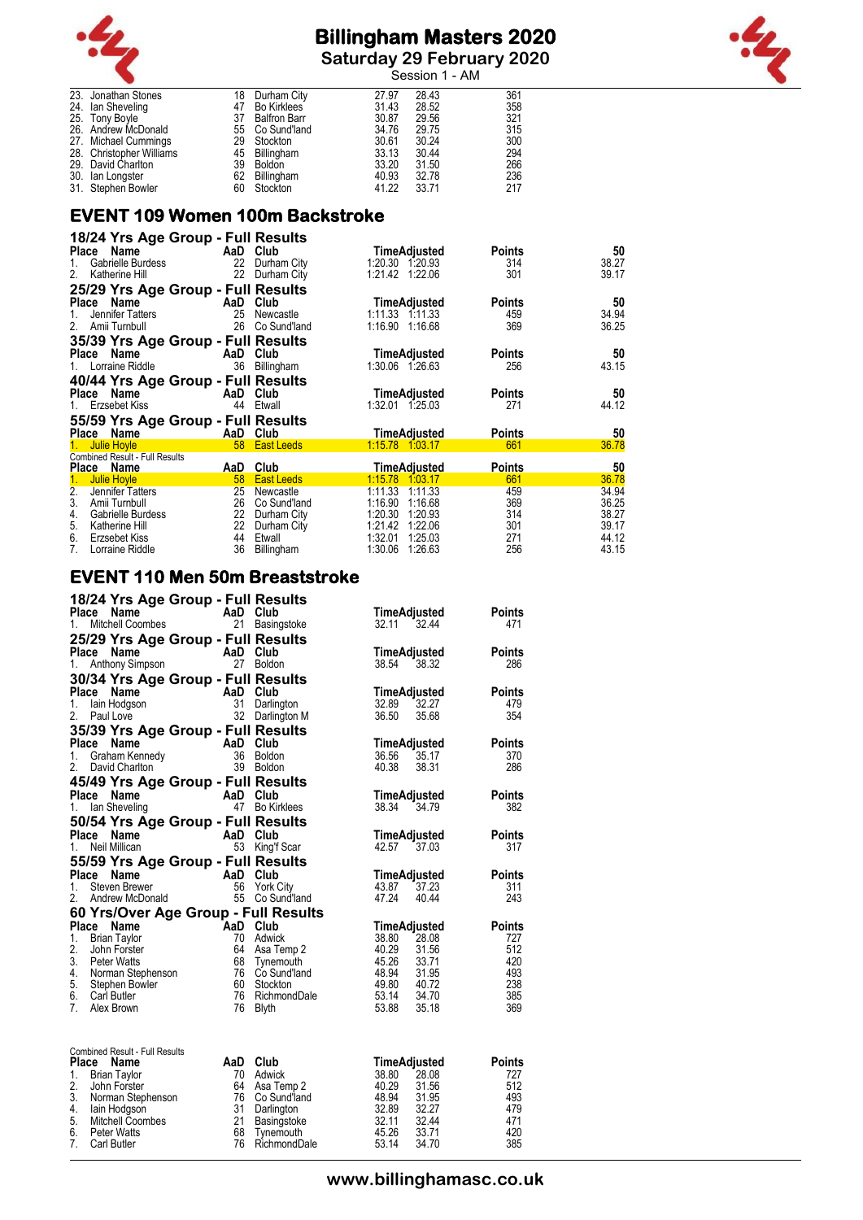

**Saturday 29 February 2020**



|                                        |          |                                        |                | Session 1 - AM |            |
|----------------------------------------|----------|----------------------------------------|----------------|----------------|------------|
| 23. Jonathan Stones                    | 18       | Durham City                            | 27.97          | 28.43          | 361        |
| 24. Ian Sheveling                      | 47       | Bo Kirklees                            | 31.43          | 28.52          | 358        |
| 25. Tony Boyle<br>26. Andrew McDonald  | 37       | <b>Balfron Barr</b><br>55 Co Sund'land | 30.87<br>34.76 | 29.56<br>29.75 | 321<br>315 |
| 27. Michael Cummings                   | 29       | Stockton                               | 30.61          | 30.24          | 300        |
| 28. Christopher Williams               | 45       | Billingham                             | 33.13          | 30.44          | 294        |
| 29. David Charlton                     | 39       | <b>Boldon</b>                          | 33.20          | 31.50          | 266        |
| 30. Ian Longster<br>31. Stephen Bowler | 62<br>60 | Billingham<br>Stockton                 | 40.93<br>41.22 | 32.78<br>33.71 | 236<br>217 |
|                                        |          |                                        |                |                |            |

### **EVENT 109 Women 100m Backstroke**

| 18/24 Yrs Age Group - Full Results    |                 |                   |                   |                     |               |       |
|---------------------------------------|-----------------|-------------------|-------------------|---------------------|---------------|-------|
| Name<br>Place                         | AaD             | Club              |                   | TimeAdjusted        | <b>Points</b> | 50    |
| Gabrielle Burdess<br>1.               | 22              | Durham City       | 1:20.30 1.20.93   |                     | 314           | 38.27 |
| 2.<br>Katherine Hill                  | 22              | Durham City       | 1:21.42           | 1:22.06             | 301           | 39.17 |
| 25/29 Yrs Age Group - Full Results    |                 |                   |                   |                     |               |       |
| Place<br>Name                         | AaD             | Club              |                   | TimeAdjusted        | <b>Points</b> | 50    |
| Jennifer Tatters<br>1.                | 25              | Newcastle         | 1:11.33 1:11.33   |                     | 459           | 34.94 |
| Amii Turnbull<br>2.                   | 26              | Co Sund'land      | 1:16.90 1:16.68   |                     | 369           | 36.25 |
| 35/39 Yrs Age Group - Full Results    |                 |                   |                   |                     |               |       |
| Place Name                            | AaD             | Club              |                   | TimeAdjusted        | <b>Points</b> | 50    |
| 1. Lorraine Riddle                    |                 | 36 Billingham     | 1:30.06 1:26.63   |                     | 256           | 43.15 |
| 40/44 Yrs Age Group - Full Results    |                 |                   |                   |                     |               |       |
| Place Name                            | AaD             | Club              |                   | TimeAdjusted        | <b>Points</b> | 50    |
| Erzsebet Kiss<br>1.                   | 44              | Etwall            | 1:32.01 1:25.03   |                     | 271           | 44.12 |
| 55/59 Yrs Age Group - Full Results    |                 |                   |                   |                     |               |       |
| Place Name                            | AaD Club        |                   |                   | <b>TimeAdjusted</b> | <b>Points</b> | 50    |
| <b>Julie Hoyle</b>                    | 58 <sup>°</sup> | <b>East Leeds</b> | $1:15.78$ 1:03.17 |                     | 661           | 36.78 |
| <b>Combined Result - Full Results</b> |                 |                   |                   |                     |               |       |
| Place Name                            | AaD             | Club              |                   | TimeAdjusted        | <b>Points</b> | 50    |
| <b>Julie Hoyle</b><br>$1_{-}$         | 58              | <b>East Leeds</b> | 1:15.78           | 1:03.17             | 661           | 36.78 |
| $\overline{2}$ .<br>Jennifer Tatters  | 25              | Newcastle         | 1:11.33           | 1:11.33             | 459           | 34.94 |
| 3.<br>Amii Turnbull                   | 26              | Co Sund'land      | 1:16.90           | 1:16.68             | 369           | 36.25 |
| Gabrielle Burdess<br>4.               | 22              | Durham City       | 1:20.30           | 1:20.93             | 314           | 38.27 |
| 5.<br>Katherine Hill                  | 22              | Durham City       | 1:21.42           | 1:22.06             | 301           | 39.17 |
| 6.<br>Erzsebet Kiss                   | 44              | Etwall            | 1:32.01           | 1:25.03             | 271           | 44.12 |
| 7.<br>Lorraine Riddle                 | 36              | Billingham        | 1:30.06           | 1:26.63             | 256           | 43.15 |

### **EVENT 110 Men 50m Breaststroke**

| 18/24 Yrs Age Group - Full Results<br><b>Name</b><br>Place   | AaD       | Club                                  | TimeAdjusted                                     | <b>Points</b>               |
|--------------------------------------------------------------|-----------|---------------------------------------|--------------------------------------------------|-----------------------------|
| Mitchell Coombes<br>1.<br>25/29 Yrs Age Group - Full Results | 21        | Basingstoke                           | 32.44<br>32.11                                   | 471                         |
| Place<br>Name<br>1.<br>Anthony Simpson                       | AaD Club  | 27 Boldon                             | TimeAdjusted<br>38.54<br>38.32                   | <b>Points</b><br>286        |
| 30/34 Yrs Age Group - Full Results                           |           |                                       |                                                  |                             |
| Place Name<br>1.<br>lain Hodgson<br>2.<br>Paul Love          | AaD<br>31 | Club<br>Darlington<br>32 Darlington M | TimeAdjusted<br>32.89<br>32.27<br>36.50<br>35.68 | <b>Points</b><br>479<br>354 |
| 35/39 Yrs Age Group - Full Results                           |           |                                       |                                                  |                             |
| Place<br>Name<br>Graham Kennedy<br>1.                        | AaD<br>36 | Club<br><b>Boldon</b>                 | TimeAdjusted<br>36.56<br>35.17                   | <b>Points</b><br>370        |
| 2.<br>David Charlton                                         |           | 39 Boldon                             | 40.38<br>38.31                                   | 286                         |
| 45/49 Yrs Age Group - Full Results                           |           |                                       |                                                  |                             |
| <b>Place</b><br>Name<br>1.                                   | AaD       | Club<br>47 Bo Kirklees                | TimeAdjusted                                     | <b>Points</b><br>382        |
| lan Sheveling<br>50/54 Yrs Age Group - Full Results          |           |                                       | 38.34 34.79                                      |                             |
| Place Name                                                   |           | AaD Club                              | TimeAdjusted                                     | <b>Points</b>               |
| Neil Millican<br>1.                                          | 53        | King'f Scar                           | 42.57<br>37.03                                   | 317                         |
| 55/59 Yrs Age Group - Full Results                           |           |                                       |                                                  |                             |
| Place<br>Name<br>1.<br>Steven Brewer                         | AaD<br>56 | Club<br><b>York City</b>              | TimeAdjusted<br>43.87<br>37.23                   | <b>Points</b><br>311        |
| 2.<br>Andrew McDonald                                        |           | 55 Co Sund'land                       | 47.24<br>40.44                                   | 243                         |
| 60 Yrs/Over Age Group - Full Results                         |           |                                       |                                                  |                             |
| Place Name                                                   | AaD       | Club                                  | <b>TimeAdjusted</b>                              | <b>Points</b>               |
| 1.<br><b>Brian Taylor</b><br>2.<br>John Forster              | 70<br>64  | Adwick<br>Asa Temp 2                  | 28.08<br>38.80<br>40.29<br>31.56                 | 727<br>512                  |
| 3.<br><b>Peter Watts</b>                                     | 68        | Tynemouth                             | 45.26<br>33.71                                   | 420                         |
| 4.<br>Norman Stephenson                                      |           | 76 Co Sund'land                       | 48.94<br>31.95                                   | 493                         |
| 5. Stephen Bowler<br>6.<br><b>Carl Butler</b>                | 76        | 60 Stockton<br>RichmondDale           | 49.80 40.72<br>53.14<br>34.70                    | 238<br>385                  |
| $7^{\circ}$<br>Alex Brown                                    | 76        | <b>Blyth</b>                          | 53.88<br>35.18                                   | 369                         |
|                                                              |           |                                       |                                                  |                             |
| Combined Result - Full Results<br>Place<br>Name              |           | AaD Club                              | <b>TimeAdjusted</b>                              | <b>Points</b>               |
| 1.<br><b>Brian Taylor</b>                                    |           | 70 Adwick                             | 38.80<br>28.08                                   | 727                         |
| 2.<br>John Forster                                           | 64<br>76  | Asa Temp 2<br>Co Sund'land            | 40.29<br>31.56<br>48.94<br>31.95                 | 512<br>493                  |
| 3. Norman Stephenson<br>4.<br>lain Hodgson                   | 31        | Darlington                            | 32.89<br>32.27                                   | 479                         |
| 5.<br>Mitchell Coombes                                       | 21        | <b>Basingstoke</b>                    | 32.11<br>32.44                                   | 471                         |
| 6.<br><b>Peter Watts</b><br>7.                               | 68<br>76  | Tynemouth                             | 45.26<br>33.71<br>53.14<br>34.70                 | 420<br>385                  |
| Carl Butler                                                  |           | RichmondDale                          |                                                  |                             |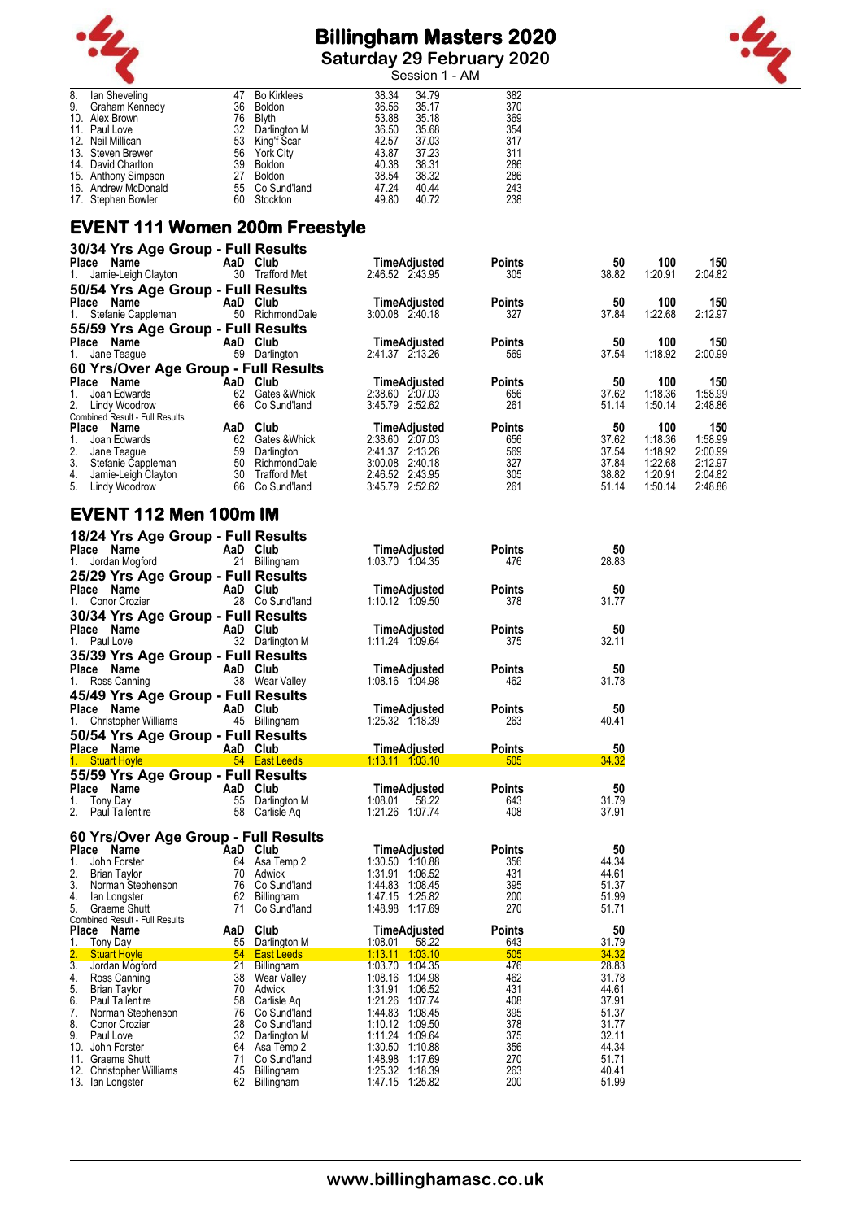

**Saturday 29 February 2020**



|    |                     |    |                    |       | Session 1 - AM |     |
|----|---------------------|----|--------------------|-------|----------------|-----|
| 8. | lan Sheveling       | 47 | <b>Bo Kirklees</b> | 38.34 | 34.79          | 382 |
| 9. | Graham Kennedy      | 36 | <b>Boldon</b>      | 36.56 | 35.17          | 370 |
|    | 10. Alex Brown      | 76 | <b>Blyth</b>       | 53.88 | 35.18          | 369 |
|    | 11. Paul Love       | 32 | Darlington M       | 36.50 | 35.68          | 354 |
|    | 12. Neil Millican   | 53 | King'f Scar        | 42.57 | 37.03          | 317 |
|    | 13. Steven Brewer   | 56 | York City          | 43.87 | 37.23          | 311 |
|    | 14. David Charlton  | 39 | <b>Boldon</b>      | 40.38 | 38.31          | 286 |
|    | 15. Anthony Simpson | 27 | <b>Boldon</b>      | 38.54 | 38.32          | 286 |
|    | 16. Andrew McDonald |    | 55 Co Sund'land    | 47.24 | 40.44          | 243 |
|    | 17. Stephen Bowler  | 60 | Stockton           | 49.80 | 40.72          | 238 |

#### **EVENT 111 Women 200m Freestyle**

| 30/34 Yrs Age Group - Full Results    |     |                     |                 |                     |               |       |         |         |
|---------------------------------------|-----|---------------------|-----------------|---------------------|---------------|-------|---------|---------|
| Name<br><b>Place</b>                  | AaD | Club                |                 | <b>TimeAdjusted</b> | <b>Points</b> | 50    | 100     | 150     |
| Jamie-Leigh Clayton<br>1.             | 30  | <b>Trafford Met</b> | 2:46.52 2:43.95 |                     | 305           | 38.82 | 1:20.91 | 2:04.82 |
| 50/54 Yrs Age Group - Full Results    |     |                     |                 |                     |               |       |         |         |
| Name<br><b>Place</b>                  | AaD | Club                |                 | TimeAdjusted        | <b>Points</b> | 50    | 100     | 150     |
| Stefanie Cappleman<br>1.              | 50  | RichmondDale        | 3:00.08 2:40.18 |                     | 327           | 37.84 | 1:22.68 | 2:12.97 |
| 55/59 Yrs Age Group - Full Results    |     |                     |                 |                     |               |       |         |         |
| Name<br>Place                         | AaD | Club                |                 | TimeAdjusted        | <b>Points</b> | 50    | 100     | 150     |
| Jane Teague<br>1.                     | 59  | Darlington          | 2:41.37 2:13.26 |                     | 569           | 37.54 | 1:18.92 | 2:00.99 |
| 60 Yrs/Over Age Group - Full Results  |     |                     |                 |                     |               |       |         |         |
| Name<br><b>Place</b>                  | AaD | Club                |                 | TimeAdjusted        | <b>Points</b> | 50    | 100     | 150     |
| Joan Edwards                          | 62  | Gates & Whick       | 2:38.60 2:07.03 |                     | 656           | 37.62 | 1:18.36 | 1:58.99 |
| 2.<br>Lindy Woodrow                   | 66  | Co Sund'land        | 3:45.79         | 2:52.62             | 261           | 51.14 | 1:50.14 | 2:48.86 |
| <b>Combined Result - Full Results</b> |     |                     |                 |                     |               |       |         |         |
| <b>Place</b><br>Name                  | AaD | Club                |                 | <b>TimeAdjusted</b> | <b>Points</b> | 50    | 100     | 150     |
| Joan Edwards                          | 62  | Gates & Whick       | 2:38.60         | 2:07.03             | 656           | 37.62 | 1:18.36 | 1:58.99 |
| 2.<br>Jane Teaque                     | 59  | Darlington          | 2:41.37         | 2:13.26             | 569           | 37.54 | 1:18.92 | 2:00.99 |
| 3.<br>Stefanie Cappleman              | 50  | RichmondDale        | 3:00.08         | 2:40.18             | 327           | 37.84 | 1:22.68 | 2:12.97 |
| 4.<br>Jamie-Leigh Clayton             | 30  | <b>Trafford Met</b> | 2:46.52         | 2:43.95             | 305           | 38.82 | 1:20.91 | 2:04.82 |
| 5.<br>Lindy Woodrow                   | 66  | Co Sund'land        | 3:45.79         | 2:52.62             | 261           | 51.14 | 1:50.14 | 2:48.86 |

# **EVENT 112 Men 100m IM**

| 18/24 Yrs Age Group - Full Results<br>Place Name<br>AaD Club<br>TimeAdjusted<br><b>Points</b><br>50<br>Jordan Mogford<br>Jordan Mogford<br>JOC M<br>21 Billingham<br>28.83<br>1.<br>1:03.70 1:04.35<br>476<br>25/29 Yrs Age Group - Full Results<br>Place Name<br>er <b>AaD</b> Club<br>28 Co.Su<br>TimeAdjusted<br>50<br><b>Points</b><br>28 Co Sund'land<br>378<br>31.77<br>1. Conor Crozier<br>1:10.12 1:09.50<br>30/34 Yrs Age Group - Full Results<br>AaD Club<br>Place Name A<br>Place Name A<br>50<br>TimeAdjusted<br><b>Points</b><br>32 Darlington M<br>32.11<br>1:11.24 1:09.64<br>375<br>35/39 Yrs Age Group - Full Results<br>Place Name<br>AaD Club<br>TimeAdjusted<br><b>Points</b><br>50<br><b>Place Name</b><br>1. Ross Canning <b>1. AaD Club</b><br>1. Ross Canning 18 Wear Valley<br>31.78<br>1:08.16 1:04.98<br>462<br>45/49 Yrs Age Group - Full Results<br><b>Place Name</b><br>1. Christopher Williams <b>1. AaD Club</b><br>45 Billingham<br>TimeAdjusted<br><b>Points</b><br>50<br>1:25.32 1:18.39<br>263<br>40.41<br>50/54 Yrs Age Group - Full Results<br>50<br>Place Name (AaD Club)<br>1. Stuart Hoyle (1999) 54 East Leeds (1999)<br><b>TimeAdjusted</b><br><b>Points</b><br>34.32<br>1.13.11 1.03.10<br>505<br>55/59 Yrs Age Group - Full Results<br>TimeAdjusted<br>Place Name<br><b>Ce Name</b><br>Tony Day<br>Paul Tallentire<br>Paul Tallentire<br>S8 Carlisle Aq<br><b>Points</b><br>50<br>1.<br>1:08.01<br>31.79<br>58.22<br>643<br>2.<br>1:21.26 1:07.74<br>408<br>37.91<br>60 Yrs/Over Age Group - Full Results<br>Place Name<br>AaD Club<br>64 Asa Te<br>50<br>TimeAdjusted<br><b>Points</b><br>64 Asa Temp 2<br>1:30.50 1:10.88<br>44.34<br>1.<br>John Forster<br>356<br>2. Brian Taylor<br>70 Adwick<br>1:31.91 1:06.52<br>431<br>44.61<br>and the server of the Munick<br>3. Norman Stephenson – 76 Co Sund'land<br>4. Ian Longster – Andreas Ramanichem<br>1:44.83 1:08.45<br>51.37<br>395<br>62 Billingham<br>51.99<br>4. Ian Longster<br>1:47.15 1:25.82<br>200<br>5. Graeme Shutt<br>71 Co Sund'land<br>1:48.98 1:17.69<br>270<br>51.71 |                              |                                    |                                  |                                                                                   |
|----------------------------------------------------------------------------------------------------------------------------------------------------------------------------------------------------------------------------------------------------------------------------------------------------------------------------------------------------------------------------------------------------------------------------------------------------------------------------------------------------------------------------------------------------------------------------------------------------------------------------------------------------------------------------------------------------------------------------------------------------------------------------------------------------------------------------------------------------------------------------------------------------------------------------------------------------------------------------------------------------------------------------------------------------------------------------------------------------------------------------------------------------------------------------------------------------------------------------------------------------------------------------------------------------------------------------------------------------------------------------------------------------------------------------------------------------------------------------------------------------------------------------------------------------------------------------------------------------------------------------------------------------------------------------------------------------------------------------------------------------------------------------------------------------------------------------------------------------------------------------------------------------------------------------------------------------------------------------------------------------------------------------------------------------------------------------------------|------------------------------|------------------------------------|----------------------------------|-----------------------------------------------------------------------------------|
|                                                                                                                                                                                                                                                                                                                                                                                                                                                                                                                                                                                                                                                                                                                                                                                                                                                                                                                                                                                                                                                                                                                                                                                                                                                                                                                                                                                                                                                                                                                                                                                                                                                                                                                                                                                                                                                                                                                                                                                                                                                                                        |                              |                                    |                                  |                                                                                   |
|                                                                                                                                                                                                                                                                                                                                                                                                                                                                                                                                                                                                                                                                                                                                                                                                                                                                                                                                                                                                                                                                                                                                                                                                                                                                                                                                                                                                                                                                                                                                                                                                                                                                                                                                                                                                                                                                                                                                                                                                                                                                                        |                              |                                    |                                  |                                                                                   |
|                                                                                                                                                                                                                                                                                                                                                                                                                                                                                                                                                                                                                                                                                                                                                                                                                                                                                                                                                                                                                                                                                                                                                                                                                                                                                                                                                                                                                                                                                                                                                                                                                                                                                                                                                                                                                                                                                                                                                                                                                                                                                        |                              |                                    |                                  |                                                                                   |
|                                                                                                                                                                                                                                                                                                                                                                                                                                                                                                                                                                                                                                                                                                                                                                                                                                                                                                                                                                                                                                                                                                                                                                                                                                                                                                                                                                                                                                                                                                                                                                                                                                                                                                                                                                                                                                                                                                                                                                                                                                                                                        |                              |                                    |                                  |                                                                                   |
|                                                                                                                                                                                                                                                                                                                                                                                                                                                                                                                                                                                                                                                                                                                                                                                                                                                                                                                                                                                                                                                                                                                                                                                                                                                                                                                                                                                                                                                                                                                                                                                                                                                                                                                                                                                                                                                                                                                                                                                                                                                                                        |                              |                                    |                                  |                                                                                   |
|                                                                                                                                                                                                                                                                                                                                                                                                                                                                                                                                                                                                                                                                                                                                                                                                                                                                                                                                                                                                                                                                                                                                                                                                                                                                                                                                                                                                                                                                                                                                                                                                                                                                                                                                                                                                                                                                                                                                                                                                                                                                                        |                              |                                    |                                  |                                                                                   |
|                                                                                                                                                                                                                                                                                                                                                                                                                                                                                                                                                                                                                                                                                                                                                                                                                                                                                                                                                                                                                                                                                                                                                                                                                                                                                                                                                                                                                                                                                                                                                                                                                                                                                                                                                                                                                                                                                                                                                                                                                                                                                        |                              |                                    |                                  |                                                                                   |
|                                                                                                                                                                                                                                                                                                                                                                                                                                                                                                                                                                                                                                                                                                                                                                                                                                                                                                                                                                                                                                                                                                                                                                                                                                                                                                                                                                                                                                                                                                                                                                                                                                                                                                                                                                                                                                                                                                                                                                                                                                                                                        |                              |                                    |                                  |                                                                                   |
|                                                                                                                                                                                                                                                                                                                                                                                                                                                                                                                                                                                                                                                                                                                                                                                                                                                                                                                                                                                                                                                                                                                                                                                                                                                                                                                                                                                                                                                                                                                                                                                                                                                                                                                                                                                                                                                                                                                                                                                                                                                                                        |                              |                                    |                                  |                                                                                   |
|                                                                                                                                                                                                                                                                                                                                                                                                                                                                                                                                                                                                                                                                                                                                                                                                                                                                                                                                                                                                                                                                                                                                                                                                                                                                                                                                                                                                                                                                                                                                                                                                                                                                                                                                                                                                                                                                                                                                                                                                                                                                                        |                              |                                    |                                  |                                                                                   |
|                                                                                                                                                                                                                                                                                                                                                                                                                                                                                                                                                                                                                                                                                                                                                                                                                                                                                                                                                                                                                                                                                                                                                                                                                                                                                                                                                                                                                                                                                                                                                                                                                                                                                                                                                                                                                                                                                                                                                                                                                                                                                        |                              |                                    |                                  |                                                                                   |
|                                                                                                                                                                                                                                                                                                                                                                                                                                                                                                                                                                                                                                                                                                                                                                                                                                                                                                                                                                                                                                                                                                                                                                                                                                                                                                                                                                                                                                                                                                                                                                                                                                                                                                                                                                                                                                                                                                                                                                                                                                                                                        |                              |                                    |                                  |                                                                                   |
|                                                                                                                                                                                                                                                                                                                                                                                                                                                                                                                                                                                                                                                                                                                                                                                                                                                                                                                                                                                                                                                                                                                                                                                                                                                                                                                                                                                                                                                                                                                                                                                                                                                                                                                                                                                                                                                                                                                                                                                                                                                                                        |                              |                                    |                                  |                                                                                   |
|                                                                                                                                                                                                                                                                                                                                                                                                                                                                                                                                                                                                                                                                                                                                                                                                                                                                                                                                                                                                                                                                                                                                                                                                                                                                                                                                                                                                                                                                                                                                                                                                                                                                                                                                                                                                                                                                                                                                                                                                                                                                                        |                              |                                    |                                  |                                                                                   |
|                                                                                                                                                                                                                                                                                                                                                                                                                                                                                                                                                                                                                                                                                                                                                                                                                                                                                                                                                                                                                                                                                                                                                                                                                                                                                                                                                                                                                                                                                                                                                                                                                                                                                                                                                                                                                                                                                                                                                                                                                                                                                        |                              |                                    |                                  |                                                                                   |
|                                                                                                                                                                                                                                                                                                                                                                                                                                                                                                                                                                                                                                                                                                                                                                                                                                                                                                                                                                                                                                                                                                                                                                                                                                                                                                                                                                                                                                                                                                                                                                                                                                                                                                                                                                                                                                                                                                                                                                                                                                                                                        |                              |                                    |                                  |                                                                                   |
|                                                                                                                                                                                                                                                                                                                                                                                                                                                                                                                                                                                                                                                                                                                                                                                                                                                                                                                                                                                                                                                                                                                                                                                                                                                                                                                                                                                                                                                                                                                                                                                                                                                                                                                                                                                                                                                                                                                                                                                                                                                                                        |                              |                                    |                                  |                                                                                   |
|                                                                                                                                                                                                                                                                                                                                                                                                                                                                                                                                                                                                                                                                                                                                                                                                                                                                                                                                                                                                                                                                                                                                                                                                                                                                                                                                                                                                                                                                                                                                                                                                                                                                                                                                                                                                                                                                                                                                                                                                                                                                                        |                              |                                    |                                  |                                                                                   |
|                                                                                                                                                                                                                                                                                                                                                                                                                                                                                                                                                                                                                                                                                                                                                                                                                                                                                                                                                                                                                                                                                                                                                                                                                                                                                                                                                                                                                                                                                                                                                                                                                                                                                                                                                                                                                                                                                                                                                                                                                                                                                        |                              |                                    |                                  |                                                                                   |
|                                                                                                                                                                                                                                                                                                                                                                                                                                                                                                                                                                                                                                                                                                                                                                                                                                                                                                                                                                                                                                                                                                                                                                                                                                                                                                                                                                                                                                                                                                                                                                                                                                                                                                                                                                                                                                                                                                                                                                                                                                                                                        |                              |                                    |                                  |                                                                                   |
|                                                                                                                                                                                                                                                                                                                                                                                                                                                                                                                                                                                                                                                                                                                                                                                                                                                                                                                                                                                                                                                                                                                                                                                                                                                                                                                                                                                                                                                                                                                                                                                                                                                                                                                                                                                                                                                                                                                                                                                                                                                                                        |                              |                                    |                                  |                                                                                   |
|                                                                                                                                                                                                                                                                                                                                                                                                                                                                                                                                                                                                                                                                                                                                                                                                                                                                                                                                                                                                                                                                                                                                                                                                                                                                                                                                                                                                                                                                                                                                                                                                                                                                                                                                                                                                                                                                                                                                                                                                                                                                                        |                              |                                    |                                  |                                                                                   |
|                                                                                                                                                                                                                                                                                                                                                                                                                                                                                                                                                                                                                                                                                                                                                                                                                                                                                                                                                                                                                                                                                                                                                                                                                                                                                                                                                                                                                                                                                                                                                                                                                                                                                                                                                                                                                                                                                                                                                                                                                                                                                        |                              |                                    |                                  |                                                                                   |
|                                                                                                                                                                                                                                                                                                                                                                                                                                                                                                                                                                                                                                                                                                                                                                                                                                                                                                                                                                                                                                                                                                                                                                                                                                                                                                                                                                                                                                                                                                                                                                                                                                                                                                                                                                                                                                                                                                                                                                                                                                                                                        |                              |                                    |                                  |                                                                                   |
|                                                                                                                                                                                                                                                                                                                                                                                                                                                                                                                                                                                                                                                                                                                                                                                                                                                                                                                                                                                                                                                                                                                                                                                                                                                                                                                                                                                                                                                                                                                                                                                                                                                                                                                                                                                                                                                                                                                                                                                                                                                                                        |                              |                                    |                                  |                                                                                   |
|                                                                                                                                                                                                                                                                                                                                                                                                                                                                                                                                                                                                                                                                                                                                                                                                                                                                                                                                                                                                                                                                                                                                                                                                                                                                                                                                                                                                                                                                                                                                                                                                                                                                                                                                                                                                                                                                                                                                                                                                                                                                                        |                              |                                    |                                  |                                                                                   |
|                                                                                                                                                                                                                                                                                                                                                                                                                                                                                                                                                                                                                                                                                                                                                                                                                                                                                                                                                                                                                                                                                                                                                                                                                                                                                                                                                                                                                                                                                                                                                                                                                                                                                                                                                                                                                                                                                                                                                                                                                                                                                        |                              |                                    |                                  |                                                                                   |
|                                                                                                                                                                                                                                                                                                                                                                                                                                                                                                                                                                                                                                                                                                                                                                                                                                                                                                                                                                                                                                                                                                                                                                                                                                                                                                                                                                                                                                                                                                                                                                                                                                                                                                                                                                                                                                                                                                                                                                                                                                                                                        |                              |                                    |                                  |                                                                                   |
|                                                                                                                                                                                                                                                                                                                                                                                                                                                                                                                                                                                                                                                                                                                                                                                                                                                                                                                                                                                                                                                                                                                                                                                                                                                                                                                                                                                                                                                                                                                                                                                                                                                                                                                                                                                                                                                                                                                                                                                                                                                                                        |                              |                                    |                                  |                                                                                   |
|                                                                                                                                                                                                                                                                                                                                                                                                                                                                                                                                                                                                                                                                                                                                                                                                                                                                                                                                                                                                                                                                                                                                                                                                                                                                                                                                                                                                                                                                                                                                                                                                                                                                                                                                                                                                                                                                                                                                                                                                                                                                                        |                              |                                    |                                  |                                                                                   |
|                                                                                                                                                                                                                                                                                                                                                                                                                                                                                                                                                                                                                                                                                                                                                                                                                                                                                                                                                                                                                                                                                                                                                                                                                                                                                                                                                                                                                                                                                                                                                                                                                                                                                                                                                                                                                                                                                                                                                                                                                                                                                        |                              |                                    |                                  |                                                                                   |
| Combined Result - Full Results<br>Place Name<br>AaD Club<br>TimeAdjusted<br><b>Points</b><br>50                                                                                                                                                                                                                                                                                                                                                                                                                                                                                                                                                                                                                                                                                                                                                                                                                                                                                                                                                                                                                                                                                                                                                                                                                                                                                                                                                                                                                                                                                                                                                                                                                                                                                                                                                                                                                                                                                                                                                                                        |                              |                                    |                                  |                                                                                   |
| 31.79<br>1.<br>55 Darlington M<br>1:08.01<br><b>Tony Day</b><br>58.22<br>643                                                                                                                                                                                                                                                                                                                                                                                                                                                                                                                                                                                                                                                                                                                                                                                                                                                                                                                                                                                                                                                                                                                                                                                                                                                                                                                                                                                                                                                                                                                                                                                                                                                                                                                                                                                                                                                                                                                                                                                                           |                              |                                    |                                  |                                                                                   |
| 54 East Leeds<br>1:13.11 1:03.10                                                                                                                                                                                                                                                                                                                                                                                                                                                                                                                                                                                                                                                                                                                                                                                                                                                                                                                                                                                                                                                                                                                                                                                                                                                                                                                                                                                                                                                                                                                                                                                                                                                                                                                                                                                                                                                                                                                                                                                                                                                       |                              |                                    |                                  |                                                                                   |
|                                                                                                                                                                                                                                                                                                                                                                                                                                                                                                                                                                                                                                                                                                                                                                                                                                                                                                                                                                                                                                                                                                                                                                                                                                                                                                                                                                                                                                                                                                                                                                                                                                                                                                                                                                                                                                                                                                                                                                                                                                                                                        |                              |                                    |                                  |                                                                                   |
|                                                                                                                                                                                                                                                                                                                                                                                                                                                                                                                                                                                                                                                                                                                                                                                                                                                                                                                                                                                                                                                                                                                                                                                                                                                                                                                                                                                                                                                                                                                                                                                                                                                                                                                                                                                                                                                                                                                                                                                                                                                                                        | 34.32<br>505                 |                                    |                                  |                                                                                   |
|                                                                                                                                                                                                                                                                                                                                                                                                                                                                                                                                                                                                                                                                                                                                                                                                                                                                                                                                                                                                                                                                                                                                                                                                                                                                                                                                                                                                                                                                                                                                                                                                                                                                                                                                                                                                                                                                                                                                                                                                                                                                                        | 28.83<br>476                 | 1:03.70 1:04.35                    | 21 Billingham                    | <mark>2. Stuart Hoyle</mark><br>3. Jordan Mogford                                 |
|                                                                                                                                                                                                                                                                                                                                                                                                                                                                                                                                                                                                                                                                                                                                                                                                                                                                                                                                                                                                                                                                                                                                                                                                                                                                                                                                                                                                                                                                                                                                                                                                                                                                                                                                                                                                                                                                                                                                                                                                                                                                                        | 31.78<br>462                 | 1:08.16 1:04.98                    | 38 Wear Valley                   | 4. Ross Canning                                                                   |
|                                                                                                                                                                                                                                                                                                                                                                                                                                                                                                                                                                                                                                                                                                                                                                                                                                                                                                                                                                                                                                                                                                                                                                                                                                                                                                                                                                                                                                                                                                                                                                                                                                                                                                                                                                                                                                                                                                                                                                                                                                                                                        | 44.61<br>431                 | 1:31.91 1:06.52                    | 70 Adwick                        | 5. Brian Taylor                                                                   |
|                                                                                                                                                                                                                                                                                                                                                                                                                                                                                                                                                                                                                                                                                                                                                                                                                                                                                                                                                                                                                                                                                                                                                                                                                                                                                                                                                                                                                                                                                                                                                                                                                                                                                                                                                                                                                                                                                                                                                                                                                                                                                        | 37.91<br>408                 | 1:21.26 1:07.74                    | 58 Carlisle Aq                   | 6.<br>Paul Tallentire                                                             |
|                                                                                                                                                                                                                                                                                                                                                                                                                                                                                                                                                                                                                                                                                                                                                                                                                                                                                                                                                                                                                                                                                                                                                                                                                                                                                                                                                                                                                                                                                                                                                                                                                                                                                                                                                                                                                                                                                                                                                                                                                                                                                        | 395<br>51.37                 | 1:44.83 1:08.45                    | 76 Co Sund'land                  |                                                                                   |
|                                                                                                                                                                                                                                                                                                                                                                                                                                                                                                                                                                                                                                                                                                                                                                                                                                                                                                                                                                                                                                                                                                                                                                                                                                                                                                                                                                                                                                                                                                                                                                                                                                                                                                                                                                                                                                                                                                                                                                                                                                                                                        | 31.77<br>378                 | 1:10.12 1:09.50                    | 28 Co Sund'land                  |                                                                                   |
|                                                                                                                                                                                                                                                                                                                                                                                                                                                                                                                                                                                                                                                                                                                                                                                                                                                                                                                                                                                                                                                                                                                                                                                                                                                                                                                                                                                                                                                                                                                                                                                                                                                                                                                                                                                                                                                                                                                                                                                                                                                                                        | 32.11<br>375                 | 1:11.24 1:09.64                    | 32 Darlington M                  |                                                                                   |
|                                                                                                                                                                                                                                                                                                                                                                                                                                                                                                                                                                                                                                                                                                                                                                                                                                                                                                                                                                                                                                                                                                                                                                                                                                                                                                                                                                                                                                                                                                                                                                                                                                                                                                                                                                                                                                                                                                                                                                                                                                                                                        | 44.34<br>356                 | 1:30.50 1:10.88                    | 64 Asa Temp 2                    | 0.<br>1 Norman Stephenson<br>8. Conor Crozier<br>9. Paul Love<br>10 .Iohn Forster |
|                                                                                                                                                                                                                                                                                                                                                                                                                                                                                                                                                                                                                                                                                                                                                                                                                                                                                                                                                                                                                                                                                                                                                                                                                                                                                                                                                                                                                                                                                                                                                                                                                                                                                                                                                                                                                                                                                                                                                                                                                                                                                        | 270<br>51.71<br>263<br>40.41 | 1:48.98 1:17.69<br>1:25.32 1:18.39 | 71 Co Sund'land<br>45 Billingham | 11. Graeme Shutt<br>12. Christopher Williams                                      |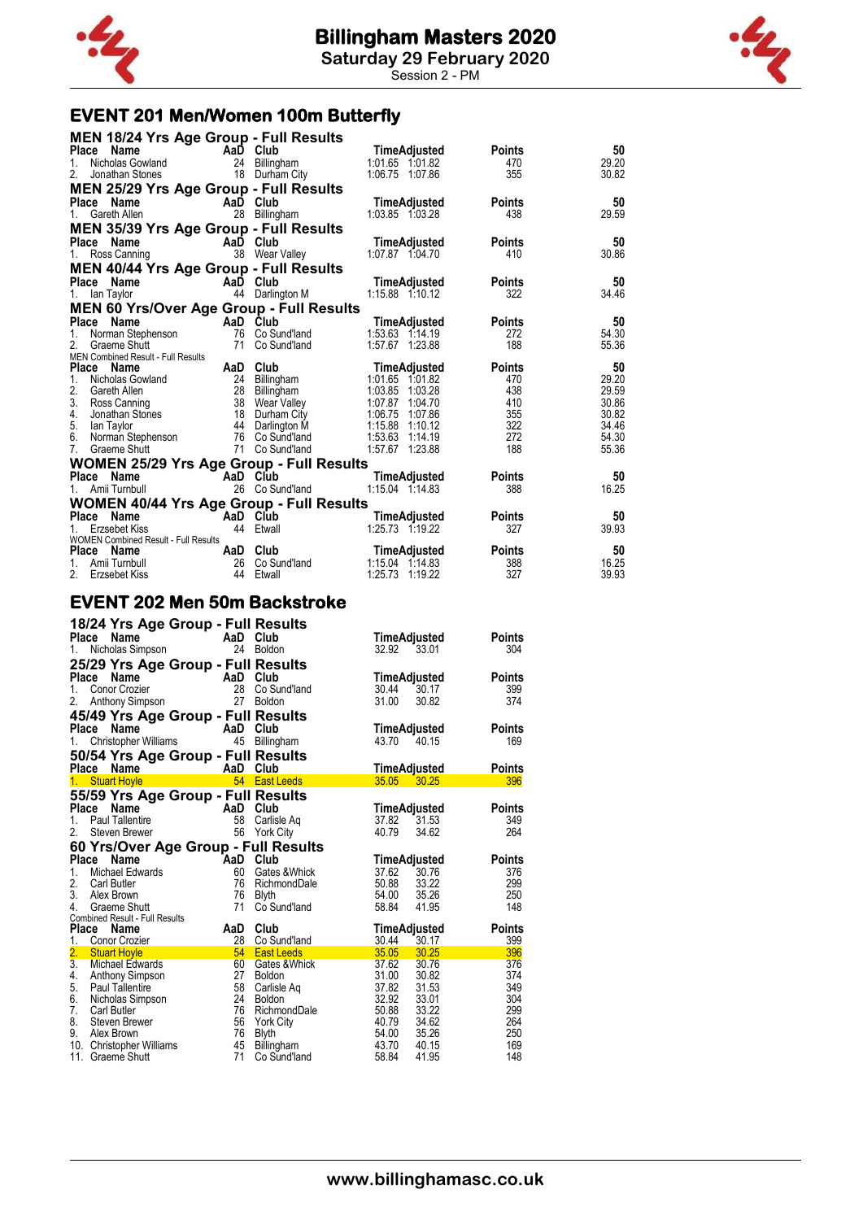

Session 2 - PM

### **EVENT 201 Men/Women 100m Butterfly**

| <b>MEN 18/24 Yrs Age Group - Full Results</b>             |     |                                    |                                       |               |                |
|-----------------------------------------------------------|-----|------------------------------------|---------------------------------------|---------------|----------------|
| Name<br><b>Place</b>                                      |     | AaD Club                           | TimeAdjusted                          | <b>Points</b> | 50             |
| Nicholas Gowland<br>1.                                    | 24  | Billingham                         | 1:01.65 1:01.82                       | 470           | 29.20          |
| 2.<br>Jonathan Stones                                     |     | 18 Durham City                     | 1:06.75 1:07.86                       | 355           | 30.82          |
| <b>MEN 25/29 Yrs Age Group - Full Results</b>             |     |                                    |                                       |               |                |
| Place Name                                                |     | AaD Club                           | TimeAdjusted                          | <b>Points</b> | 50             |
| 1.<br>Gareth Allen                                        |     | 28 Billingham                      | 1:03.85 1:03.28                       | 438           | 29.59          |
| <b>MEN 35/39 Yrs Age Group - Full Results</b>             |     |                                    |                                       |               |                |
| <b>Place</b><br><b>Name</b>                               |     | AaD Club                           | <b>TimeAdjusted</b>                   | <b>Points</b> | 50             |
| Ross Canning                                              | 38  | Wear Valley                        | 1:07.87 1:04.70                       | 410           | 30.86          |
| <b>MEN 40/44 Yrs Age Group - Full Results</b>             |     |                                    |                                       |               |                |
| Place<br>Name                                             |     | AaD Club                           | <b>TimeAdjusted</b>                   | <b>Points</b> | 50             |
| lan Taylor<br>1.                                          |     | 44 Darlington M                    | 1:15.88 1:10.12                       | 322           | 34.46          |
| <b>MEN 60 Yrs/Over Age Group - Full Results</b>           |     |                                    |                                       |               |                |
| Place Name                                                |     | AaD Club                           | <b>TimeAdjusted</b>                   | <b>Points</b> | 50             |
| 1.<br>Norman Stephenson                                   |     | 76 Co Sund'land                    | 1:53.63 1:14.19                       | 272           | 54.30          |
| 2.<br>Graeme Shutt                                        | 71  | Co Sund'land                       | 1:57.67 1:23.88                       | 188           | 55.36          |
| MEN Combined Result - Full Results                        |     |                                    |                                       |               |                |
| <b>Place</b><br>Name                                      | AaD | Club                               | <b>TimeAdjusted</b>                   | <b>Points</b> | 50             |
| 1.<br>Nicholas Gowland                                    |     | 24 Billingham                      | 1:01.65 1:01.82                       | 470           | 29.20          |
| 2.<br>Gareth Allen                                        | 28  | Billingham                         | 1:03.85<br>1:03.28                    | 438           | 29.59          |
| 3.<br>Ross Canning                                        |     | 38 Wear Valley                     | 1:07.87<br>1:04.70                    | 410           | 30.86          |
| 4.<br>Jonathan Stones                                     | 18  | Durham City                        | 1:06.75<br>1:07.86                    | 355           | 30.82          |
| 5.<br>lan Taylor                                          | 44  | Darlington M                       | 1:15.88<br>1:10.12                    | 322<br>272    | 34.46          |
| 6.<br>Norman Stephenson<br>7.<br>Graeme Shutt             |     | 76 Co Sund'land<br>71 Co Sund'land | 1:53.63 1:14.19<br>1:57.67 1:23.88    | 188           | 54.30<br>55.36 |
|                                                           |     |                                    |                                       |               |                |
| <b>WOMEN 25/29 Yrs Age Group - Full Results</b>           |     |                                    |                                       |               |                |
| Name<br><b>Place</b>                                      |     | AaD Club                           | <b>TimeAdjusted</b>                   | <b>Points</b> | 50             |
| Amii Turnbull                                             |     | 26 Co Sund'land                    | 1:15.04 1:14.83                       | 388           | 16.25          |
| <b>WOMEN 40/44 Yrs Age Group - Full Results</b>           |     |                                    |                                       |               |                |
| Place<br><b>Name</b>                                      |     | AaD Club                           | TimeAdjusted                          | <b>Points</b> | 50             |
| Erzsebet Kiss                                             | 44  | Etwall                             | 1:25.73 1:19.22                       | 327           | 39.93          |
| <b>WOMEN Combined Result - Full Results</b><br>Place Name | AaD | Club                               | <b>TimeAdjusted</b>                   | <b>Points</b> | 50             |
| 1.<br>Amii Turnbull                                       | 26  | Co Sund'land                       |                                       | 388           | 16.25          |
|                                                           |     |                                    |                                       |               |                |
| $2^{2}$<br>Erzsebet Kiss                                  | 44  | Etwall                             | 1:15.04 1:14.83<br>1:25.73<br>1:19.22 | 327           | 39.93          |

### **EVENT 202 Men 50m Backstroke**

|                | 18/24 Yrs Age Group - Full Results                   |          |                            |                                  |               |
|----------------|------------------------------------------------------|----------|----------------------------|----------------------------------|---------------|
| <b>Place</b>   | Name                                                 | AaD      | Club                       | TimeAdjusted                     | <b>Points</b> |
| 1.             | Nicholas Simpson                                     | 24       | Boldon                     | 32.92 33.01                      | 304           |
|                | 25/29 Yrs Age Group - Full Results                   |          |                            |                                  |               |
|                | Place<br>Name                                        | AaD Club |                            | TimeAdjusted                     | Points        |
| 1.             | Conor Crozier                                        | 28       | Co Sund'land               | 30.44<br>30.17                   | 399           |
| 2.             | Anthony Simpson                                      | 27       | <b>Boldon</b>              | 31.00<br>30.82                   | 374           |
|                | 45/49 Yrs Age Group - Full Results                   |          |                            |                                  |               |
| Place          | Name                                                 | AaD AaD  | Club                       | <b>TimeAdjusted</b>              | <b>Points</b> |
| 1.             | Christopher Williams                                 | 45       | Billingham                 | 43.70<br>40.15                   | 169           |
|                | 50/54 Yrs Age Group - Full Results                   |          |                            |                                  |               |
| Place          | Name                                                 | AaD      | Club                       | <b>TimeAdjusted</b>              | <b>Points</b> |
| 1 <sub>1</sub> | <b>Stuart Hoyle</b>                                  | 54       | <b>East Leeds</b>          | $35.05$ $30.25$                  | 396           |
|                | 55/59 Yrs Age Group - Full Results                   |          |                            |                                  |               |
| <b>Place</b>   | Name                                                 | AaD      | Club                       | TimeAdjusted                     | Points        |
| 1.             | Paul Tallentire                                      | 58       | Carlisle Ag                | 37.82<br>31.53                   | 349           |
| 2.             | Steven Brewer                                        | 56       | <b>York City</b>           | 40.79<br>34.62                   | 264           |
|                | 60 Yrs/Over Age Group - Full Results                 |          |                            |                                  |               |
|                | Place<br>Name                                        | AaD Club |                            | TimeAdjusted                     | <b>Points</b> |
| $1_{-}$        | Michael Edwards                                      | 60       | Gates &Whick               | 37.62<br>30.76                   | 376           |
| 2.             | <b>Carl Butler</b>                                   | 76       | RichmondDale               | 50.88<br>33.22                   | 299           |
| 3.             | Alex Brown                                           | 76       | <b>Blyth</b>               | 54.00 35.26                      | 250           |
| 4.             | Graeme Shutt                                         | 71       | Co Sund'land               | 58.84<br>41.95                   | 148           |
| Place          | Combined Result - Full Results<br>Name               | AaD      | Club                       | TimeAdjusted                     | <b>Points</b> |
| 1.             | Conor Crozier                                        |          | 28 Co Sund'land            | 30.44<br>30.17                   | 399           |
|                |                                                      | 54       | <b>East Leeds</b>          | 35.05 30.25                      | 396           |
|                | 2. Stuart Hoyle<br>3. Michael Edw<br>Michael Edwards | 60       | Gates & Whick              | 37.62<br>30.76                   | 376           |
| 4.             | Anthony Simpson                                      | 27       | <b>Boldon</b>              | 31.00<br>30.82                   | 374           |
| 5.             | Paul Tallentire                                      | 58       | Carlisle Aq                | 37.82<br>31.53                   | 349           |
| 6.             | Nicholas Simpson                                     | 24       | Boldon                     | 32.92<br>33.01                   | 304           |
| 7.             | <b>Carl Butler</b>                                   | 76       | RichmondDale               | 50.88<br>33.22                   | 299           |
| 8.<br>9.       | Steven Brewer<br>Alex Brown                          | 56<br>76 | York City                  | 40.79<br>34.62<br>54.00<br>35.26 | 264<br>250    |
|                | 10. Christopher Williams                             | 45       | <b>Blyth</b><br>Billingham | 43.70<br>40.15                   | 169           |
|                | 11. Graeme Shutt                                     | 71       | Co Sund'land               | 58.84<br>41.95                   | 148           |

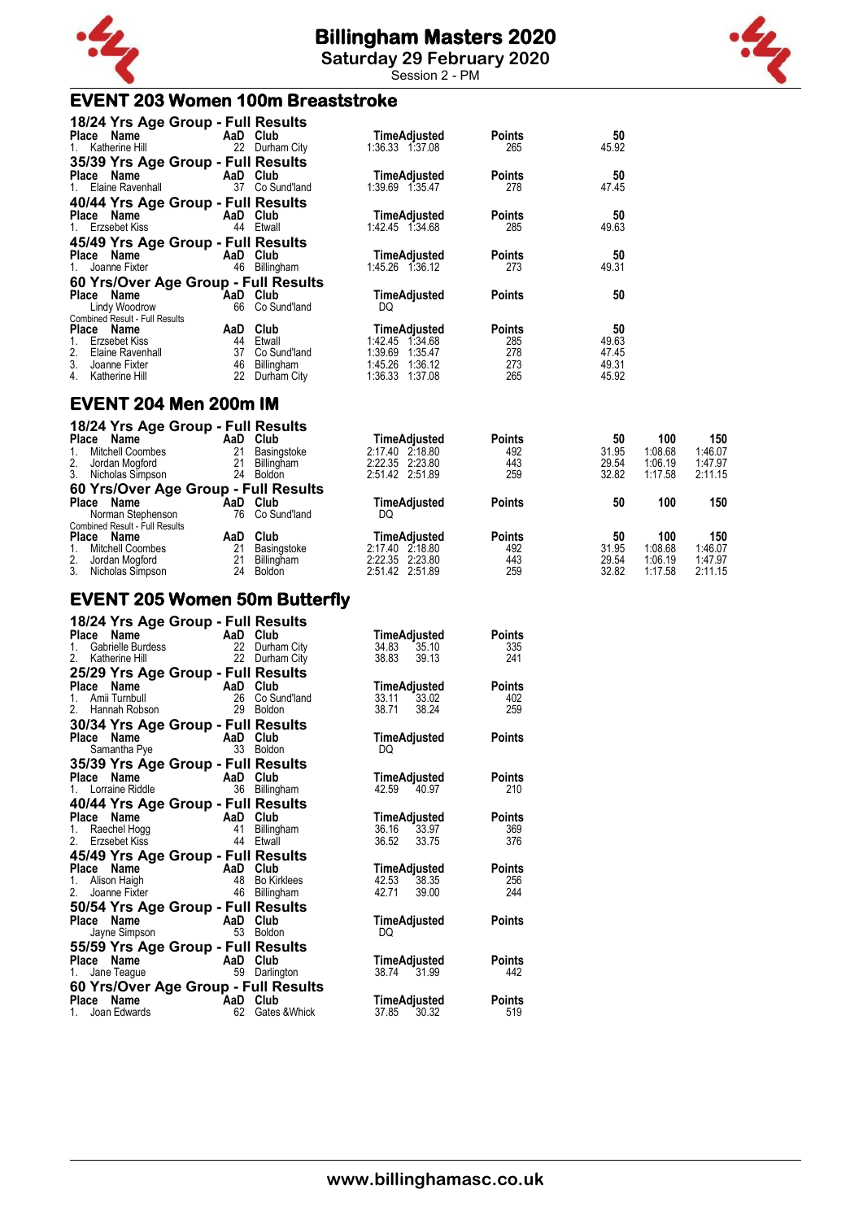

**Saturday 29 February 2020** Session 2 - PM

### **EVENT 203 Women 100m Breaststroke**



| 18/24 Yrs Age Group - Full Results    |                           |                     |               |       |
|---------------------------------------|---------------------------|---------------------|---------------|-------|
| Place Name                            | <b>Example 2</b> AaD Club | TimeAdjusted        | <b>Points</b> | 50    |
| 1. Katherine Hill                     | 22 Durham City            | 1:36.33 1:37.08     | 265           | 45.92 |
| 35/39 Yrs Age Group - Full Results    |                           |                     |               |       |
| Place Name AaD Club                   |                           | <b>TimeAdjusted</b> | <b>Points</b> | 50    |
| 1. Elaine Ravenhall                   | 37 Co Sund'land           | 1:39.69 1:35.47     | 278           | 47.45 |
| 40/44 Yrs Age Group - Full Results    |                           |                     |               |       |
| Place Name                            | AaD Club                  | TimeAdjusted        | <b>Points</b> | 50    |
| 1. Erzsebet Kiss                      | 44 Etwall                 | 1:42.45 1:34.68     | 285           | 49.63 |
| 45/49 Yrs Age Group - Full Results    |                           |                     |               |       |
| Place Name                            | AaD Club                  | TimeAdjusted        | <b>Points</b> | 50    |
| 1. Joanne Fixter                      | 46<br>Billingham          | 1:45.26 1:36.12     | 273           | 49.31 |
| 60 Yrs/Over Age Group - Full Results  |                           |                     |               |       |
| Place Name                            | AaD Club                  | <b>TimeAdjusted</b> | <b>Points</b> | 50    |
| Lindy Woodrow                         | 66 Co Sund'land           | DQ                  |               |       |
| <b>Combined Result - Full Results</b> |                           |                     |               |       |
| Place Name                            | Club<br>AaD               | <b>TimeAdjusted</b> | <b>Points</b> | 50    |
| Erzsebet Kiss<br>1.                   | 44<br>Etwall              | 1:42.45 1:34.68     | 285           | 49.63 |
| 2.<br>Elaine Ravenhall                | 37<br>Co Sund'land        | 1:39.69<br>1:35.47  | 278           | 47.45 |
| 3.<br>Joanne Fixter                   | 46<br>Billingham          | 1:45.26 1:36.12     | 273           | 49.31 |
| 4.<br>Katherine Hill                  | 22<br>Durham City         | 1:36.33<br>1:37.08  | 265           | 45.92 |

#### **EVENT 204 Men 200m IM**

| 18/24 Yrs Age Group - Full Results<br>Name<br><b>Place</b><br><b>Mitchell Coombes</b> | AaD<br>21 | Club<br>Basingstoke         | TimeAdiusted<br>2:17.40 2:18.80    | <b>Points</b><br>492 | 50<br>31.95    | 100<br>1:08.68     | 150<br>1:46.07     |
|---------------------------------------------------------------------------------------|-----------|-----------------------------|------------------------------------|----------------------|----------------|--------------------|--------------------|
| 2.<br>Jordan Mogford<br>3.<br>Nicholas Simpson                                        | 21<br>24  | Billingham<br><b>Boldon</b> | 2:22.35 2:23.80<br>2:51.42 2:51.89 | 443<br>259           | 29.54<br>32.82 | 1:06.19<br>1:17.58 | 1:47.97<br>2:11.15 |
| 60 Yrs/Over Age Group - Full Results                                                  |           |                             |                                    |                      |                |                    |                    |
| Place<br>Name<br>Norman Stephenson                                                    | AaD<br>76 | Club<br>Co Sund'land        | TimeAdiusted<br>DQ                 | <b>Points</b>        | 50             | 100                | 150                |
| <b>Combined Result - Full Results</b>                                                 |           |                             |                                    |                      |                |                    |                    |
| <b>Place</b><br>Name                                                                  | AaD       | Club                        | TimeAdiusted                       | <b>Points</b>        | 50             | 100                | 150                |
| <b>Mitchell Coombes</b>                                                               | 21        | Basingstoke                 | 2:17.40<br>2:18.80                 | 492                  | 31.95          | 1:08.68            | 1:46.07            |
| 2.<br>Jordan Mogford<br>3.<br>Nicholas Simpson                                        | 24        | Billingham<br><b>Boldon</b> | 2:22.35 2:23.80<br>2:51.42 2:51.89 | 443<br>259           | 29.54<br>32.82 | 1:06.19<br>1:17.58 | 1:47.97<br>2:11.15 |

### **EVENT 205 Women 50m Butterfly**

| 18/24 Yrs Age Group - Full Results                                                                      |                           |               |                |               |
|---------------------------------------------------------------------------------------------------------|---------------------------|---------------|----------------|---------------|
| <b>22 Durham City<br/> Cabrielle Burdess 22 Durham City<br/> Katherine Hill 22 Durham City</b><br>Place |                           |               | TimeAdjusted   | <b>Points</b> |
| $1_{1}$                                                                                                 |                           |               | 35.10<br>34.83 | 335           |
| 2 <sub>1</sub>                                                                                          |                           |               | 38.83<br>39.13 | 241           |
| 25/29 Yrs Age Group - Full Results                                                                      |                           |               |                |               |
| Name<br>Place                                                                                           | AaD Club                  |               | TimeAdjusted   | <b>Points</b> |
| Amii Turnbull<br>$1_{-}$                                                                                | 26                        | Co Sund'land  | 33.11 33.02    | 402           |
| 2.<br>Hannah Robson                                                                                     | 29                        | Boldon        | 38.71<br>38.24 | 259           |
| 30/34 Yrs Age Group - Full Results                                                                      |                           |               |                |               |
| Place Name                                                                                              | AaD Club<br>33 Boldor     |               | TimeAdjusted   | <b>Points</b> |
| Samantha Pye                                                                                            |                           | 33 Boldon     | DO             |               |
| 35/39 Yrs Age Group - Full Results                                                                      |                           |               |                |               |
| <b>Place Name</b><br>1. Lorraine Riddle<br>1. Lorraine Riddle<br>36 Billing                             |                           |               | TimeAdjusted   | <b>Points</b> |
|                                                                                                         |                           | Billingham    | 42.59<br>40.97 | 210           |
| 40/44 Yrs Age Group - Full Results                                                                      |                           |               |                |               |
| Name<br>Place                                                                                           | <b>Example 2</b> AaD Club |               | TimeAdjusted   | <b>Points</b> |
| 1.                                                                                                      | 41                        | Billingham    | 36.16 33.97    | 369           |
| A،<br>Erzsebet Kiss<br>'4Ω - `<br>2 <sub>1</sub>                                                        |                           | 44 Etwall     | 36.52<br>33.75 | 376           |
| 45/49 Yrs Age Group - Full Results                                                                      |                           |               |                |               |
| Place Name                                                                                              | AaD Club                  |               | TimeAdjusted   | <b>Points</b> |
| 1. Alison Haigh                                                                                         | 48                        | Bo Kirklees   | 42.53 38.35    | 256           |
| 2.<br>Joanne Fixter                                                                                     | 46                        | Billingham    | 42.71<br>39.00 | 244           |
| 50/54 Yrs Age Group - Full Results                                                                      |                           |               |                |               |
| <b>Place</b><br>Name                                                                                    | <b>Example 2 AaD</b> Club |               | TimeAdjusted   | <b>Points</b> |
| Jayne Simpson                                                                                           |                           | 53 Boldon     | DO             |               |
| 55/59 Yrs Age Group - Full Results                                                                      |                           |               |                |               |
| Place<br>Name AaD Club                                                                                  |                           |               | TimeAdjusted   | <b>Points</b> |
| 1.<br>Jane Teague                                                                                       |                           | 59 Darlington | 38.74<br>31.99 | 442           |
| 60 Yrs/Over Age Group - Full Results                                                                    |                           |               |                |               |
| Place Name                                                                                              | AaD Club                  |               | TimeAdjusted   | <b>Points</b> |
| Joan Edwards<br>1.                                                                                      | 62                        | Gates & Whick | 37.85<br>30.32 | 519           |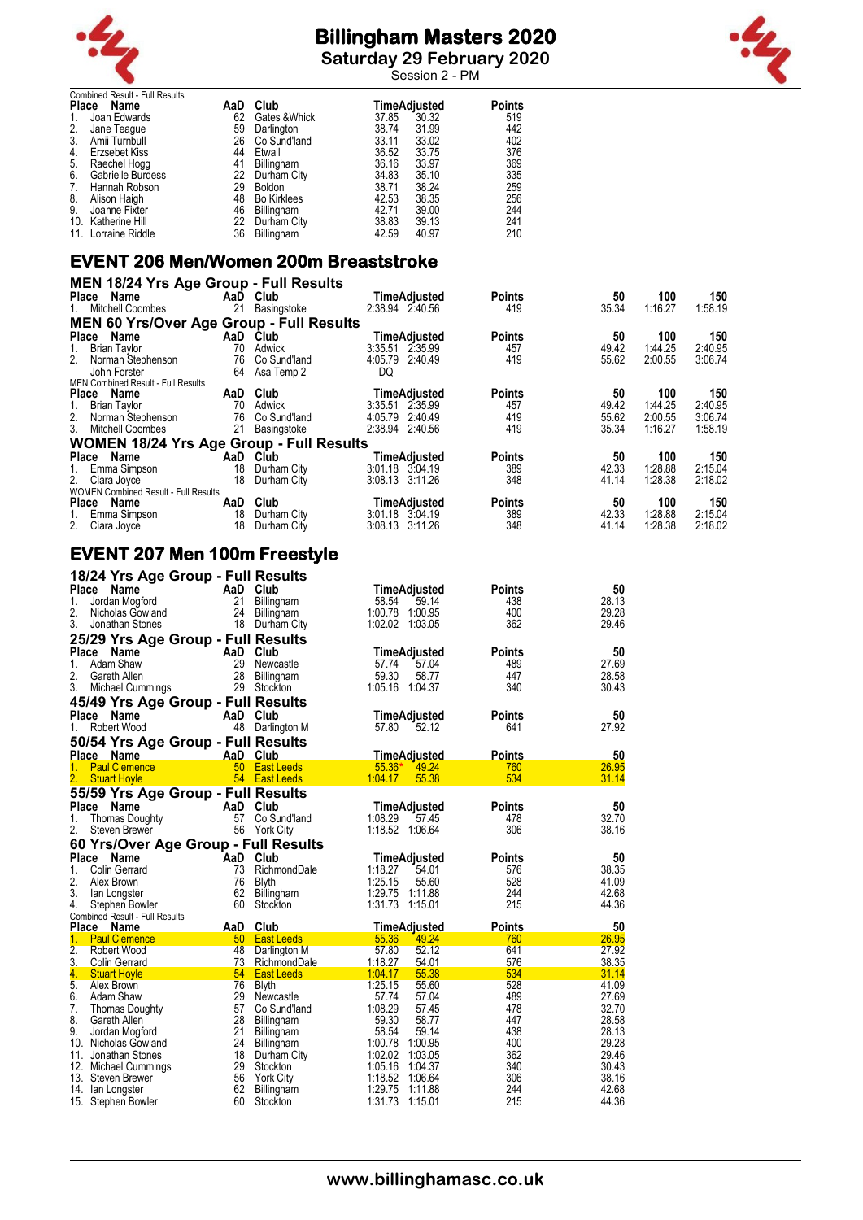

**Saturday 29 February 2020**

Session 2 - PM



|              | <b>Combined Result - Full Results</b> |     |                    |       |              |               |
|--------------|---------------------------------------|-----|--------------------|-------|--------------|---------------|
| <b>Place</b> | Name                                  | AaD | Club               |       | TimeAdjusted | <b>Points</b> |
|              | Joan Edwards                          | 62  | Gates & Whick      | 37.85 | 30.32        | 519           |
| 2.           | Jane Teaque                           | 59  | Darlington         | 38.74 | 31.99        | 442           |
| 3.           | Amii Turnbull                         | 26  | Co Sund'land       | 33.11 | 33.02        | 402           |
| 4.           | Erzsebet Kiss                         | 44  | Etwall             | 36.52 | 33.75        | 376           |
| 5.           | Raechel Hogg                          | 41  | Billingham         | 36.16 | 33.97        | 369           |
| 6.           | Gabrielle Burdess                     | 22  | Durham City        | 34.83 | 35.10        | 335           |
| 7.           | Hannah Robson                         | 29  | <b>Boldon</b>      | 38.71 | 38.24        | 259           |
| 8.           | Alison Haigh                          | 48  | <b>Bo Kirklees</b> | 42.53 | 38.35        | 256           |
| 9.           | Joanne Fixter                         | 46  | Billingham         | 42.71 | 39.00        | 244           |
| 10.          | Katherine Hill                        | 22  | Durham City        | 38.83 | 39.13        | 241           |
|              | 11. Lorraine Riddle                   | 36  |                    | 42.59 | 40.97        | 210           |
|              |                                       |     | Billingham         |       |              |               |

### **EVENT 206 Men/Women 200m Breaststroke**

| <b>MEN 18/24 Yrs Age Group - Full Results</b>   |     |                 |                     |               |       |         |         |
|-------------------------------------------------|-----|-----------------|---------------------|---------------|-------|---------|---------|
| Place Name                                      |     | AaD Club        | TimeAdjusted        | <b>Points</b> | 50    | 100     | 150     |
| 1. Mitchell Coombes                             | 21  | Basingstoke     | 2:38.94 2:40.56     | 419           | 35.34 | 1:16.27 | 1:58.19 |
| <b>MEN 60 Yrs/Over Age Group - Full Results</b> |     |                 |                     |               |       |         |         |
| Place Name                                      |     | AaD Club        | <b>TimeAdjusted</b> | <b>Points</b> | 50    | 100     | 150     |
| 1. Brian Taylor                                 |     | 70 Adwick       | 3:35.51 2:35.99     | 457           | 49.42 | 1:44.25 | 2:40.95 |
| 2. Norman Stephenson                            | 76  | Co Sund'land    | 4:05.79 2:40.49     | 419           | 55.62 | 2:00.55 | 3:06.74 |
| John Forster                                    |     | 64 Asa Temp 2   | DQ                  |               |       |         |         |
| MEN Combined Result - Full Results              |     |                 |                     |               |       |         |         |
| Place Name                                      | AaD | Club            | <b>TimeAdjusted</b> | <b>Points</b> | 50    | 100     | 150     |
| 1. Brian Taylor                                 | 70  | Adwick          | 3:35.51 2:35.99     | 457           | 49.42 | 1:44.25 | 2:40.95 |
|                                                 |     | 76 Co Sund'land | 4:05.79 2:40.49     | 419           | 55.62 | 2:00.55 | 3:06.74 |
| 2. Norman Stephenson<br>3. Mitchell Coombes     | 21  | Basingstoke     | 2:38.94 2:40.56     | 419           | 35.34 | 1:16.27 | 1:58.19 |
| <b>WOMEN 18/24 Yrs Age Group - Full Results</b> |     |                 |                     |               |       |         |         |
| Place Name                                      |     | AaD Club        | TimeAdjusted        | <b>Points</b> | 50    | 100     | 150     |
| 1. Emma Simpson                                 | 18  | Durham City     | $3:01.18$ $3:04.19$ | 389           | 42.33 | 1:28.88 | 2:15.04 |
| 2. Ciara Joyce                                  | 18  | Durham City     | 3:08.13 3:11.26     | 348           | 41.14 | 1:28.38 | 2:18.02 |
| <b>WOMEN Combined Result - Full Results</b>     |     |                 |                     |               |       |         |         |
| Place Name                                      | AaD | Club            | TimeAdjusted        | <b>Points</b> | 50    | 100     | 150     |
| 1. Emma Simpson                                 | 18  | Durham City     | 3:01.18 3:04.19     | 389           | 42.33 | 1:28.88 | 2:15.04 |
| 2. Ciara Joyce                                  | 18  | Durham City     | 3:08.13 3:11.26     | 348           | 41.14 | 1:28.38 | 2:18.02 |

### **EVENT 207 Men 100m Freestyle**

| 18/24 Yrs Age Group - Full Results      |                 |                            |                                      |               |                |
|-----------------------------------------|-----------------|----------------------------|--------------------------------------|---------------|----------------|
| Place<br>Name                           | AaD             | Club                       | TimeAdjusted                         | <b>Points</b> | 50             |
| 1.<br>Jordan Mogford                    | 21              | Billingham                 | 58.54<br>59.14                       | 438           | 28.13          |
| 2.<br>Nicholas Gowland                  | 24              | Billingham                 | 1:00.78 1:00.95                      | 400           | 29.28          |
| 3.<br>Jonathan Stones                   |                 | 18 Durham City             | 1:02.02 1:03.05                      | 362           | 29.46          |
| 25/29 Yrs Age Group - Full Results      |                 |                            |                                      |               |                |
| <b>Place</b><br>Name                    | AaD             | Club                       | TimeAdjusted                         | <b>Points</b> | 50             |
| Adam Shaw<br>$\mathbf{1}$ .             | 29              | Newcastle                  | 57.74<br>57.04                       | 489           | 27.69          |
| 2.<br>Gareth Allen                      | 28              | Billingham                 | 59.30<br>58.77                       | 447           | 28.58          |
| 3.<br>Michael Cummings                  | 29              | Stockton                   | 1:05.16 1:04.37                      | 340           | 30.43          |
| 45/49 Yrs Age Group - Full Results      |                 |                            |                                      |               |                |
| <b>Place</b><br>Name                    | AaD             | Club                       | TimeAdjusted                         | <b>Points</b> | 50             |
| Robert Wood<br>1.                       |                 | 48 Darlington M            | 57.80<br>52.12                       | 641           | 27.92          |
| 50/54 Yrs Age Group - Full Results      |                 |                            |                                      |               |                |
| Place Name                              | AaD             | Club                       | TimeAdjusted                         | <b>Points</b> | 50             |
| <b>Paul Clemence</b><br>1.              | 50 <sub>0</sub> | <b>East Leeds</b>          | 49.24<br>$55.36*$                    | 760           | 26.95          |
| 2.<br><b>Stuart Hoyle</b>               |                 | 54 East Leeds              | 1:04.17<br>55.38                     | 534           | 31.14          |
| 55/59 Yrs Age Group - Full Results      |                 |                            |                                      |               |                |
| <b>Place</b><br>Name                    | AaD             | Club                       | TimeAdjusted                         | <b>Points</b> | 50             |
| 1.<br>Thomas Doughty                    | 57              | Co Sund'land               | 1:08.29<br>57.45                     | 478           | 32.70          |
| 2.<br>Steven Brewer                     | 56              | <b>York City</b>           | 1:18.52 1:06.64                      | 306           | 38.16          |
| 60 Yrs/Over Age Group - Full Results    |                 |                            |                                      |               |                |
| Place<br>Name                           | AaD             | Club                       | <b>TimeAdjusted</b>                  | <b>Points</b> | 50             |
| 1.<br><b>Colin Gerrard</b>              | 73              | RichmondDale               | 1:18.27<br>54.01                     | 576           | 38.35          |
| 2.<br>Alex Brown                        | 76              | <b>Blyth</b>               | 1:25.15<br>55.60                     | 528           | 41.09          |
| 3.<br>lan Longster                      | 62              | Billingham                 | 1:29.75<br>1:11.88                   | 244           | 42.68          |
| 4.<br>Stephen Bowler                    | 60              | Stockton                   | 1:31.73<br>1:15.01                   | 215           | 44.36          |
| Combined Result - Full Results          |                 |                            |                                      |               |                |
| Place Name                              | AaD             | Club                       | <b>TimeAdjusted</b>                  | <b>Points</b> | 50             |
| 1.<br><b>Paul Clemence</b>              | 50              | <b>East Leeds</b>          | 49.24<br>55.36                       | 760           | 26.95          |
| 2.<br>Robert Wood                       | 48              | Darlington M               | 57.80<br>52.12                       | 641           | 27.92          |
| 3.<br><b>Colin Gerrard</b><br>4.        | 73<br>54        | RichmondDale               | 1:18.27<br>54.01<br>1:04.17<br>55.38 | 576<br>534    | 38.35          |
| <b>Stuart Hoyle</b><br>5.<br>Alex Brown | 76              | <b>East Leeds</b><br>Blyth | 1:25.15<br>55.60                     | 528           | 31.14<br>41.09 |
| 6.<br>Adam Shaw                         | 29              | Newcastle                  | 57.74<br>57.04                       | 489           | 27.69          |
| 7.<br><b>Thomas Doughty</b>             | 57              | Co Sund'land               | 1:08.29<br>57.45                     | 478           | 32.70          |
| 8.<br>Gareth Allen                      | 28              | Billingham                 | 59.30<br>58.77                       | 447           | 28.58          |
| 9.<br>Jordan Mogford                    | 21              | Billingham                 | 58.54<br>59.14                       | 438           | 28.13          |
| 10. Nicholas Gowland                    | 24              | Billingham                 | 1:00.78 1:00.95                      | 400           | 29.28          |
| 11.<br>Jonathan Stones                  |                 | 18 Durham City             | 1:02.02 1:03.05                      | 362           | 29.46          |
| 12. Michael Cummings                    | 29              | Stockton                   | 1:05.16<br>1:04.37                   | 340           | 30.43          |
| 13. Steven Brewer                       | 56              | <b>York City</b>           | 1:18.52 1:06.64                      | 306           | 38.16          |
| 14. Ian Longster                        | 62              | Billingham                 | 1:29.75<br>1:11.88                   | 244           | 42.68          |
| 15. Stephen Bowler                      | 60              | Stockton                   | 1:31.73<br>1:15.01                   | 215           | 44.36          |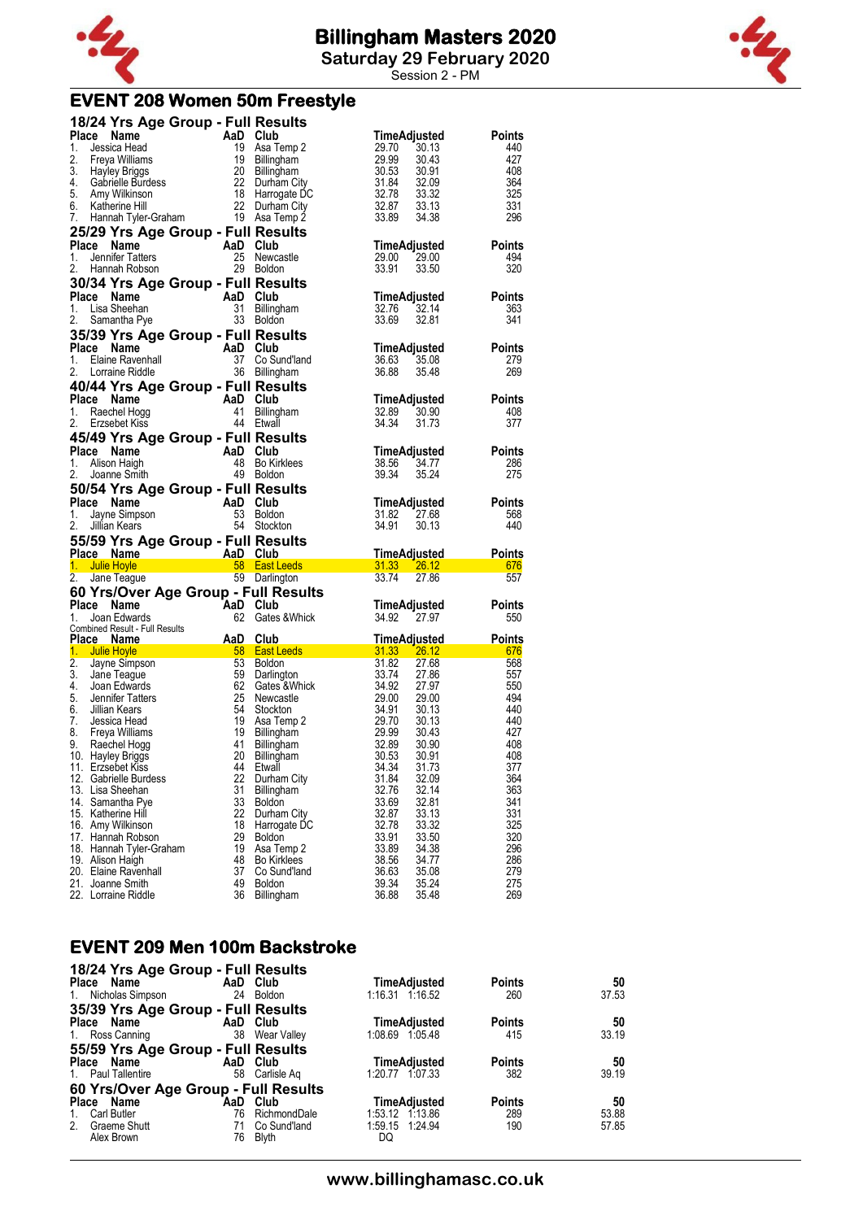

**Saturday 29 February 2020**

Session 2 - PM

### **EVENT 208 Women 50m Freestyle**

|                | 18/24 Yrs Age Group - Full Results                                                                                                                                                                                                                 |                |                                                                                                                                                                                                                                                                       |                                                                          |               |
|----------------|----------------------------------------------------------------------------------------------------------------------------------------------------------------------------------------------------------------------------------------------------|----------------|-----------------------------------------------------------------------------------------------------------------------------------------------------------------------------------------------------------------------------------------------------------------------|--------------------------------------------------------------------------|---------------|
|                | Place Name Crown - And Club<br>1. Jessica Head<br>2. Freya Williams 19 Asa Temp 2<br>2. Freya Williams 19 Billingham<br>3. Hayley Briggs 20 Billingham<br>3. Amy Wilkinson 22 Durham City<br>5. Amy Wilkinson 18 Harrogate DC<br>6. Katherine Hill |                |                                                                                                                                                                                                                                                                       | TimeAdjusted                                                             | <b>Points</b> |
|                |                                                                                                                                                                                                                                                    |                |                                                                                                                                                                                                                                                                       | 29.70<br>30.13                                                           | 440           |
|                |                                                                                                                                                                                                                                                    |                |                                                                                                                                                                                                                                                                       | 29.99<br>30.43                                                           | 427<br>408    |
|                |                                                                                                                                                                                                                                                    |                | Durham City                                                                                                                                                                                                                                                           | 30.91<br>32.09                                                           | 364           |
|                |                                                                                                                                                                                                                                                    |                | Harrogate DC                                                                                                                                                                                                                                                          | $\begin{array}{r} 30.53 \\ 31.84 \\ 32.78 \\ 32.87 \end{array}$<br>33.32 | 325           |
|                |                                                                                                                                                                                                                                                    |                | 22 Durham City                                                                                                                                                                                                                                                        | 32.87<br>33.13                                                           | 331           |
|                |                                                                                                                                                                                                                                                    |                |                                                                                                                                                                                                                                                                       | 33.89<br>34.38                                                           | 296           |
|                | 25/29 Yrs Age Group - Full Results                                                                                                                                                                                                                 |                |                                                                                                                                                                                                                                                                       |                                                                          |               |
| Place Name     |                                                                                                                                                                                                                                                    | AaD Club       |                                                                                                                                                                                                                                                                       | <b>TimeAdjusted</b>                                                      | <b>Points</b> |
| 1.             | Jennifer Tatters                                                                                                                                                                                                                                   |                | 25 Newcastle                                                                                                                                                                                                                                                          | 29.00<br>29.00                                                           | 494           |
| 2.             | Hannah Robson                                                                                                                                                                                                                                      |                | 29 Boldon                                                                                                                                                                                                                                                             | 33.91<br>33.50                                                           | 320           |
|                | 30/34 Yrs Age Group - Full Results                                                                                                                                                                                                                 |                |                                                                                                                                                                                                                                                                       |                                                                          |               |
| Place Name     |                                                                                                                                                                                                                                                    | AaD Club       |                                                                                                                                                                                                                                                                       | TimeAdjusted                                                             | <b>Points</b> |
| 1.             | Lisa Sheehan                                                                                                                                                                                                                                       | 31             | Billingham                                                                                                                                                                                                                                                            | 32.76<br>32.14                                                           | 363           |
| 2.             | Samantha Pye                                                                                                                                                                                                                                       |                | 33 Boldon                                                                                                                                                                                                                                                             | 33.69<br>32.81                                                           | 341           |
|                | 35/39 Yrs Age Group - Full Results                                                                                                                                                                                                                 |                |                                                                                                                                                                                                                                                                       |                                                                          |               |
| Place Name     | <b>Comment Comment Capital Critical Critical Critical Critical Critical Critical Critical Critical Critical Critical Critical Critical Critical Critical Critical Critical Critical Critical Critical Critical Critical Critical</b>               |                |                                                                                                                                                                                                                                                                       | TimeAdjusted                                                             | <b>Points</b> |
| 1.             |                                                                                                                                                                                                                                                    |                | Co Sund'Iand                                                                                                                                                                                                                                                          | 36.63<br>35.08                                                           | 279           |
| 2.             | Lorraine Riddle                                                                                                                                                                                                                                    |                | 36 Billingham                                                                                                                                                                                                                                                         | 36.88<br>35.48                                                           | 269           |
|                | 40/44 Yrs Age Group - Full Results                                                                                                                                                                                                                 |                |                                                                                                                                                                                                                                                                       |                                                                          |               |
| Place Name     |                                                                                                                                                                                                                                                    | AaD Club<br>41 |                                                                                                                                                                                                                                                                       | TimeAdjusted<br>32.89                                                    | <b>Points</b> |
| 1.<br>2.       | Raechel Hogg<br>Erzsebet Kiss                                                                                                                                                                                                                      |                | Billingham<br>44 Etwall                                                                                                                                                                                                                                               | 30.90<br>34.34<br>31.73                                                  | 408<br>377    |
|                |                                                                                                                                                                                                                                                    |                |                                                                                                                                                                                                                                                                       |                                                                          |               |
| Place Name     | 45/49 Yrs Age Group - Full Results                                                                                                                                                                                                                 | AaD Club       |                                                                                                                                                                                                                                                                       | TimeAdjusted                                                             | <b>Points</b> |
| 1.             | Alison Haigh                                                                                                                                                                                                                                       |                | 48 Bo Kirklees                                                                                                                                                                                                                                                        | 38.56<br>34.77                                                           | 286           |
| 2.             | Joanne Smith                                                                                                                                                                                                                                       |                | 49 Boldon                                                                                                                                                                                                                                                             | 39.34<br>35.24                                                           | 275           |
|                | 50/54 Yrs Age Group - Full Results                                                                                                                                                                                                                 |                |                                                                                                                                                                                                                                                                       |                                                                          |               |
| Place Name     |                                                                                                                                                                                                                                                    | AaD Club       |                                                                                                                                                                                                                                                                       | TimeAdjusted                                                             | <b>Points</b> |
|                |                                                                                                                                                                                                                                                    |                |                                                                                                                                                                                                                                                                       |                                                                          |               |
| 1.             |                                                                                                                                                                                                                                                    |                | 53 Boldon                                                                                                                                                                                                                                                             | 31.82                                                                    | 568           |
| 2.             | <b>Se Name</b><br>Jayne Simpson<br><b>With Koore</b><br>Jillian Kears                                                                                                                                                                              |                | 54 Stockton                                                                                                                                                                                                                                                           | 27.68<br>34.91<br>30.13                                                  | 440           |
|                |                                                                                                                                                                                                                                                    |                |                                                                                                                                                                                                                                                                       |                                                                          |               |
| Place Name     | 55/59 Yrs Age Group - Full Results                                                                                                                                                                                                                 |                |                                                                                                                                                                                                                                                                       | <u>TimeAdjusted</u>                                                      | <b>Points</b> |
| 1. Julie Hoyle |                                                                                                                                                                                                                                                    |                |                                                                                                                                                                                                                                                                       |                                                                          | 676           |
|                | 2. Jane Teague                                                                                                                                                                                                                                     |                | AaD Club<br>2015 - AaD Club<br>2016 - San Leeds 2013 - 26.12<br>2017 - San Darlington 2017 - 2012<br>59 Darlington                                                                                                                                                    |                                                                          | 557           |
|                | 60 Yrs/Over Age Group - Full Results                                                                                                                                                                                                               |                |                                                                                                                                                                                                                                                                       |                                                                          |               |
| Place Name     |                                                                                                                                                                                                                                                    |                |                                                                                                                                                                                                                                                                       | TimeAdjusted                                                             | <b>Points</b> |
| 1.             | Joan Edwards                                                                                                                                                                                                                                       |                | <b>AaD Club</b><br>62 Gates & Whick                                                                                                                                                                                                                                   | 34.92 27.97                                                              | 550           |
|                |                                                                                                                                                                                                                                                    |                |                                                                                                                                                                                                                                                                       |                                                                          |               |
|                |                                                                                                                                                                                                                                                    |                |                                                                                                                                                                                                                                                                       | <u>TimeAdjusted_</u>                                                     | <b>Points</b> |
|                |                                                                                                                                                                                                                                                    |                |                                                                                                                                                                                                                                                                       |                                                                          | 676<br>568    |
|                |                                                                                                                                                                                                                                                    |                |                                                                                                                                                                                                                                                                       |                                                                          | 557           |
|                |                                                                                                                                                                                                                                                    |                |                                                                                                                                                                                                                                                                       |                                                                          | 550           |
|                |                                                                                                                                                                                                                                                    |                |                                                                                                                                                                                                                                                                       |                                                                          | 494           |
|                |                                                                                                                                                                                                                                                    |                |                                                                                                                                                                                                                                                                       |                                                                          | 440           |
|                |                                                                                                                                                                                                                                                    |                |                                                                                                                                                                                                                                                                       |                                                                          | 440           |
|                |                                                                                                                                                                                                                                                    |                |                                                                                                                                                                                                                                                                       |                                                                          | 427<br>408    |
|                |                                                                                                                                                                                                                                                    |                |                                                                                                                                                                                                                                                                       |                                                                          | 408           |
|                | 11. Erzsebet Kiss                                                                                                                                                                                                                                  |                | 1. Joan Edwards<br>Combined Result - Full Results<br><b>Place Name And Club</b><br>1. Julie Hoyle<br>2. Jayne Simpson<br>3. Jane Teague<br>5. Same Simpson<br>5. Same Simpson<br>5. Same Simpson<br>5. Same Simpson<br>5. Same Simpson<br>5. Same Simpso<br>44 Etwall | 34.34<br>31.73                                                           | 377           |
|                | 12. Gabrielle Burdess                                                                                                                                                                                                                              |                | 22 Durham City                                                                                                                                                                                                                                                        | 31.84<br>32.09                                                           | 364           |
|                | 13. Lisa Sheehan                                                                                                                                                                                                                                   | 31             | Billingham                                                                                                                                                                                                                                                            | 32.76<br>32.14                                                           | 363           |
|                | 14. Samantha Pye                                                                                                                                                                                                                                   | 33             | <b>Boldon</b>                                                                                                                                                                                                                                                         | 33.69<br>32.81                                                           | 341           |
|                | 15. Katherine Hill                                                                                                                                                                                                                                 | 22<br>18       | Durham City<br>Harrogate DC                                                                                                                                                                                                                                           | 32.87<br>33.13<br>33.32<br>32.78                                         | 331<br>325    |
|                | 16. Amy Wilkinson<br>17. Hannah Robson                                                                                                                                                                                                             | 29             | <b>Boldon</b>                                                                                                                                                                                                                                                         | 33.50<br>33.91                                                           | 320           |
|                | 18. Hannah Tyler-Graham                                                                                                                                                                                                                            | 19             | Asa Temp 2                                                                                                                                                                                                                                                            | 33.89<br>34.38                                                           | 296           |
|                | 19. Alison Haigh                                                                                                                                                                                                                                   | 48             | <b>Bo Kirklees</b>                                                                                                                                                                                                                                                    | 38.56<br>34.77                                                           | 286           |
|                | 20. Elaine Ravenhall                                                                                                                                                                                                                               | 37             | Co Sund'land                                                                                                                                                                                                                                                          | 36.63<br>35.08                                                           | 279           |
|                | 21. Joanne Smith<br>22. Lorraine Riddle                                                                                                                                                                                                            | 49<br>36       | <b>Boldon</b><br>Billingham                                                                                                                                                                                                                                           | 39.34<br>35.24<br>36.88<br>35.48                                         | 275<br>269    |

#### **EVENT 209 Men 100m Backstroke 18/24 Yrs Age Group - Full Results**

| 18/24 Trs Age Group - Full Results   |                |                     |               |       |
|--------------------------------------|----------------|---------------------|---------------|-------|
| Place Name                           | AaD Club       | TimeAdjusted        | <b>Points</b> | 50    |
| 1. Nicholas Simpson<br>24            | Boldon         | 1:16.31 1:16.52     | 260           | 37.53 |
| 35/39 Yrs Age Group - Full Results   |                |                     |               |       |
| Place Name                           | AaD Club       | TimeAdjusted        | <b>Points</b> | 50    |
| 1. Ross Canning                      | 38 Wear Valley | 1:08.69 1:05.48     | 415           | 33.19 |
| 55/59 Yrs Age Group - Full Results   |                |                     |               |       |
| Place Name                           | AaD Club       | <b>TimeAdjusted</b> | <b>Points</b> | 50    |
| 1. Paul Tallentire<br>58             | Carlisle Ag    | 1:20.77 1:07.33     | 382           | 39.19 |
| 60 Yrs/Over Age Group - Full Results |                |                     |               |       |
| Place Name<br>AaD                    | Club           | <b>TimeAdjusted</b> | <b>Points</b> | 50    |
| Carl Butler<br>76<br>$1_{\cdot}$     | RichmondDale   | 1:53.12 1:13.86     | 289           | 53.88 |
| 2.<br><b>Graeme Shutt</b><br>71      | Co Sund'land   | 1:59.15 1:24.94     | 190           | 57.85 |
| Alex Brown<br>76                     | Blyth          | DQ                  |               |       |

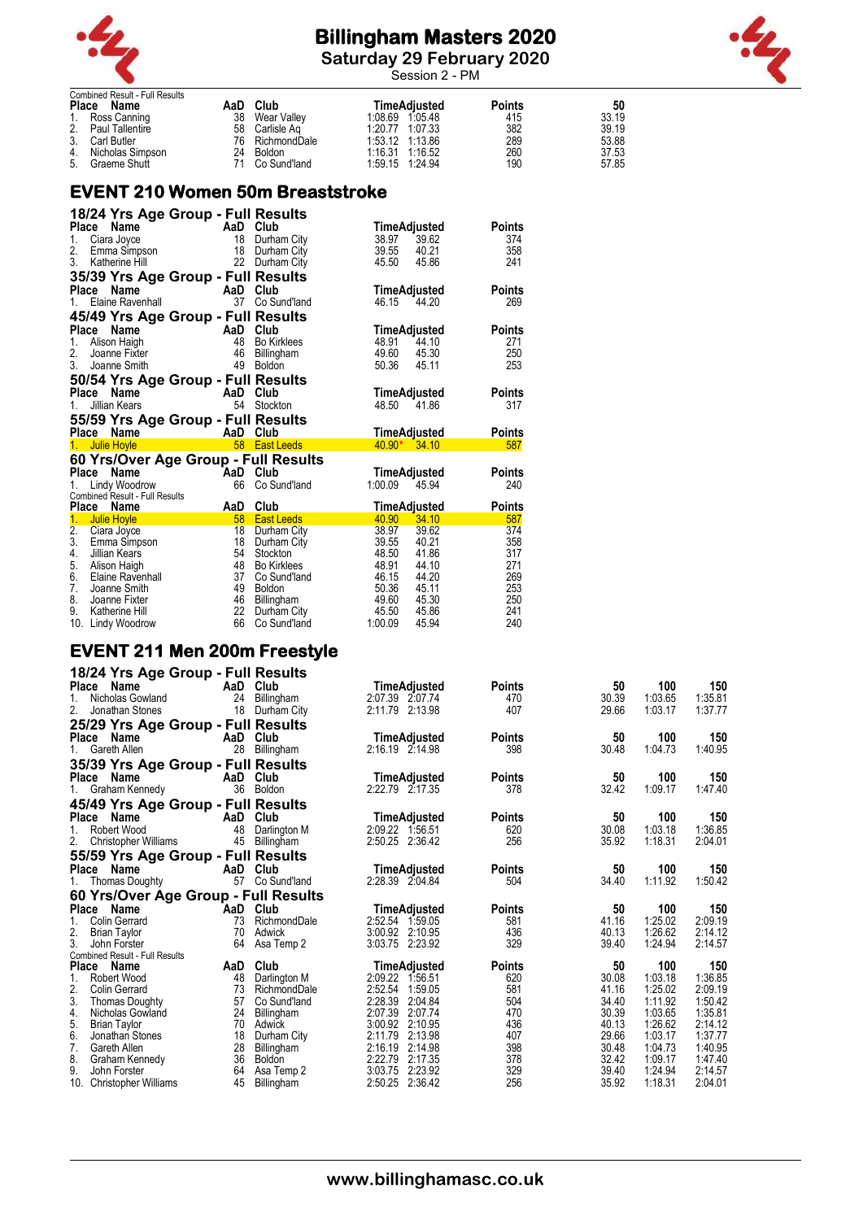

**Saturday 29 February 2020**





| Combined Result - Full Results<br>Place Name | AaD | Club            | TimeAdiusted    | <b>Points</b> | 50    |
|----------------------------------------------|-----|-----------------|-----------------|---------------|-------|
| 1. Ross Canning                              | 38  | Wear Valley     | 1:08.69 1:05.48 | 415           | 33.19 |
| 2. Paul Tallentire                           |     | 58 Carlisle Ag  | 1:20.77 1:07.33 | 382           | 39.19 |
| 3. Carl Butler                               |     | 76 RichmondDale | 1:53.12 1:13.86 | 289           | 53.88 |
| 4. Nicholas Simpson                          | 24  | Boldon          | 1:16.31 1:16.52 | 260           | 37.53 |
| 5. Graeme Shutt                              | 71  | Co Sund'Iand    | 1:59.15 1:24.94 | 190           | 57.85 |

### **EVENT 210 Women 50m Breaststroke**

| 18/24 Yrs Age Group - Full Results   |          |                    |                     |               |
|--------------------------------------|----------|--------------------|---------------------|---------------|
| Place<br>Name                        | AaD Club |                    | TimeAdjusted        | Points        |
| 1.<br>Ciara Joyce                    |          | 18 Durham City     | 39.62<br>38.97      | 374           |
| 2.<br>Emma Simpson                   | 18       | Durham City        | 39.55<br>40.21      | 358           |
| 3.<br>Katherine Hill                 | 22       | Durham City        | 45.50<br>45.86      | 241           |
| 35/39 Yrs Age Group - Full Results   |          |                    |                     |               |
| Place<br>Name                        |          | AaD Club           | TimeAdjusted        | Points        |
| Elaine Ravenhall<br>1.               | 37       | Co Sund'land       | 46.15 44.20         | 269           |
| 45/49 Yrs Age Group - Full Results   |          |                    |                     |               |
| Place<br>Name                        |          | AaD Club           | TimeAdjusted        | Points        |
| 1.<br>Alison Haigh                   | 48       | <b>Bo Kirklees</b> | 48.91<br>44.10      | 271           |
| 2.<br>Joanne Fixter                  | 46       | Billingham         | 49.60<br>45.30      | 250           |
| 3.<br>Joanne Smith                   | 49       | <b>Boldon</b>      | 50.36<br>45.11      | 253           |
| 50/54 Yrs Age Group - Full Results   |          |                    |                     |               |
| Place<br>Name                        |          | AaD Club           | TimeAdjusted        | <b>Points</b> |
| Jillian Kears<br>1.                  | 54       | Stockton           | 48.50<br>41.86      | 317           |
| 55/59 Yrs Age Group - Full Results   |          |                    |                     |               |
| Place Name                           |          | AaD Club           | <b>TimeAdjusted</b> | Points        |
| 1.<br>Julie Hoyle                    | 58       | <b>East Leeds</b>  | $40.90*$<br>34.10   | 587           |
| 60 Yrs/Over Age Group - Full Results |          |                    |                     |               |
| <b>Place</b><br>Name                 | AaD Club |                    | TimeAdjusted        | Points        |
| Lindy Woodrow<br>1.                  | 66       | Co Sund'land       | 1:00.09<br>45.94    | 240           |
| Combined Result - Full Results       |          |                    |                     |               |
| Place<br>Name                        | AaD      | Club               | <b>TimeAdjusted</b> | <b>Points</b> |
| 1.<br><b>Julie Hoyle</b>             | 58       | <b>East Leeds</b>  | 40.90<br>34.10      | 587           |
| 2.<br>Ciara Joyce                    | 18       | Durham City        | 38.97<br>39.62      | 374           |
| 3.<br>Emma Simpson                   | 18       | Durham City        | 39.55<br>40.21      | 358           |
| 4.<br>Jillian Kears                  | 54       | Stockton           | 48.50<br>41.86      | 317           |
| 5. Alison Haigh                      | 48       | <b>Bo Kirklees</b> | 48.91<br>44.10      | 271           |
| 6.<br>Elaine Ravenhall               | 37       | Co Sund'land       | 46.15<br>44.20      | 269           |
| 7.<br>Joanne Smith                   | 49       | Boldon             | 50.36<br>45.11      | 253           |
| 8.<br>Joanne Fixter                  |          | 46 Billingham      | 49.60<br>45.30      | 250           |
| 9.<br>Katherine Hill                 | 22       | Durham City        | 45.50<br>45.86      | 241           |
| 10. Lindy Woodrow                    | 66       | Co Sund'land       | 1:00.09<br>45.94    | 240           |

### **EVENT 211 Men 200m Freestyle**

| 18/24 Yrs Age Group - Full Results    |     |               |                                 |               |       |         |         |
|---------------------------------------|-----|---------------|---------------------------------|---------------|-------|---------|---------|
| Place Name                            | AaD | Club          | TimeAdjusted                    | <b>Points</b> | 50    | 100     | 150     |
| Nicholas Gowland                      | 24  | Billingham    | 2:07.39 2:07.74                 | 470           | 30.39 | 1:03.65 | 1:35.81 |
| 2.<br>Jonathan Stones                 | 18  | Durham City   | 2:11.79 2:13.98                 | 407           | 29.66 | 1:03.17 | 1:37.77 |
| 25/29 Yrs Age Group - Full Results    |     |               |                                 |               |       |         |         |
| Place Name                            | AaD | Club          | TimeAdjusted                    | <b>Points</b> | 50    | 100     | 150     |
| $1_{-}$<br>Gareth Allen               | 28  | Billingham    | 2:16.19 2:14.98                 | 398           | 30.48 | 1:04.73 | 1:40.95 |
|                                       |     |               |                                 |               |       |         |         |
| 35/39 Yrs Age Group - Full Results    | AaD | Club          |                                 | <b>Points</b> | 50    | 100     | 150     |
| Place<br>Name                         | 36  | Boldon        | TimeAdjusted<br>2:22.79 2:17.35 | 378           | 32.42 | 1:09.17 | 1:47.40 |
| Graham Kennedy                        |     |               |                                 |               |       |         |         |
| 45/49 Yrs Age Group - Full Results    |     |               |                                 |               |       |         |         |
| Place<br>Name                         | AaD | Club          | TimeAdjusted                    | <b>Points</b> | 50    | 100     | 150     |
| Robert Wood                           | 48  | Darlington M  | 2:09.22 1:56.51                 | 620           | 30.08 | 1:03.18 | 1:36.85 |
| 2.<br><b>Christopher Williams</b>     | 45  | Billingham    | 2:50.25 2:36.42                 | 256           | 35.92 | 1:18.31 | 2:04.01 |
| 55/59 Yrs Age Group - Full Results    |     |               |                                 |               |       |         |         |
| <b>Place</b><br>Name                  | AaD | Club          | TimeAdjusted                    | <b>Points</b> | 50    | 100     | 150     |
| <b>Thomas Doughty</b>                 | 57  | Co Sund'land  | 2:28.39 2:04.84                 | 504           | 34.40 | 1:11.92 | 1:50.42 |
| 60 Yrs/Over Age Group - Full Results  |     |               |                                 |               |       |         |         |
| Place Name                            | AaD | Club          | TimeAdjusted                    | <b>Points</b> | 50    | 100     | 150     |
| <b>Colin Gerrard</b>                  | 73  | RichmondDale  | 2:52.54 1:59.05                 | 581           | 41.16 | 1:25.02 | 2:09.19 |
| 2.<br><b>Brian Taylor</b>             | 70  | Adwick        | 3:00.92 2:10.95                 | 436           | 40.13 | 1:26.62 | 2:14.12 |
| 3.<br>John Forster                    | 64  | Asa Temp 2    | 3:03.75 2:23.92                 | 329           | 39.40 | 1:24.94 | 2:14.57 |
| <b>Combined Result - Full Results</b> |     |               |                                 |               |       |         |         |
| <b>Place</b><br>Name                  | AaD | Club          | TimeAdjusted                    | <b>Points</b> | 50    | 100     | 150     |
| Robert Wood                           | 48  | Darlington M  | 2:09.22<br>1:56.51              | 620           | 30.08 | 1:03.18 | 1:36.85 |
| 2.<br><b>Colin Gerrard</b>            | 73  | RichmondDale  | 2:52.54<br>1:59.05              | 581           | 41.16 | 1:25.02 | 2:09.19 |
| 3.<br><b>Thomas Doughty</b>           | 57  | Co Sund'land  | 2:28.39<br>2:04.84              | 504           | 34.40 | 1:11.92 | 1:50.42 |
| 4.<br>Nicholas Gowland                | 24  | Billingham    | 2:07.39<br>2:07.74              | 470           | 30.39 | 1:03.65 | 1:35.81 |
| 5.<br><b>Brian Taylor</b>             | 70  | Adwick        | 3:00.92 2:10.95                 | 436           | 40.13 | 1:26.62 | 2:14.12 |
| 6.<br>Jonathan Stones                 | 18  | Durham City   | 2:13.98<br>2:11.79              | 407           | 29.66 | 1:03.17 | 1:37.77 |
| 7.<br>Gareth Allen                    | 28  | Billingham    | 2:14.98<br>2:16.19              | 398           | 30.48 | 1:04.73 | 1:40.95 |
| 8.<br>Graham Kennedy                  | 36  | <b>Boldon</b> | 2:22.79<br>2:17.35              | 378           | 32.42 | 1:09.17 | 1:47.40 |
| 9.<br>John Forster                    | 64  | Asa Temp 2    | 2:23.92<br>3:03.75              | 329           | 39.40 | 1:24.94 | 2:14.57 |
| 10.<br><b>Christopher Williams</b>    | 45  | Billingham    | 2:50.25 2:36.42                 | 256           | 35.92 | 1:18.31 | 2:04.01 |